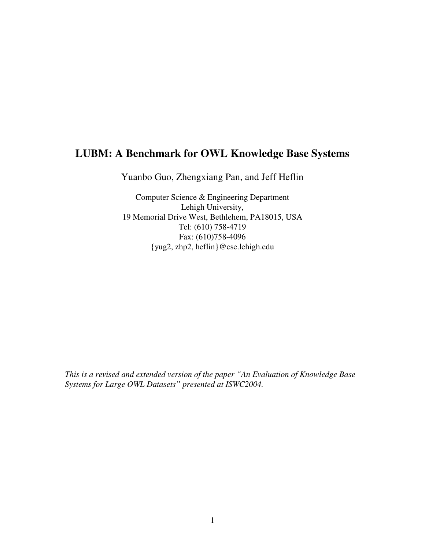# **LUBM: A Benchmark for OWL Knowledge Base Systems**

Yuanbo Guo, Zhengxiang Pan, and Jeff Heflin

Computer Science & Engineering Department Lehigh University, 19 Memorial Drive West, Bethlehem, PA18015, USA Tel: (610) 758-4719 Fax: (610)758-4096 {yug2, zhp2, heflin}@cse.lehigh.edu

*This is a revised and extended version of the paper "An Evaluation of Knowledge Base Systems for Large OWL Datasets" presented at ISWC2004.*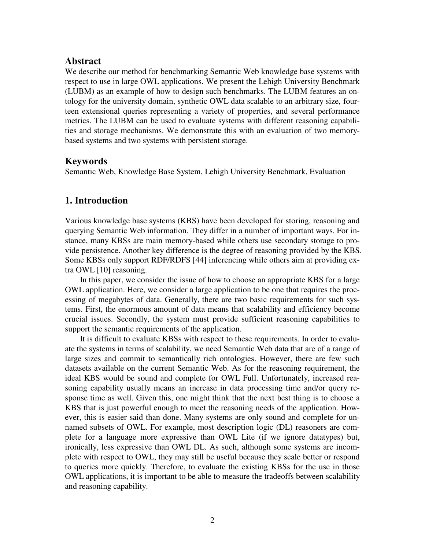# **Abstract**

We describe our method for benchmarking Semantic Web knowledge base systems with respect to use in large OWL applications. We present the Lehigh University Benchmark (LUBM) as an example of how to design such benchmarks. The LUBM features an ontology for the university domain, synthetic OWL data scalable to an arbitrary size, fourteen extensional queries representing a variety of properties, and several performance metrics. The LUBM can be used to evaluate systems with different reasoning capabilities and storage mechanisms. We demonstrate this with an evaluation of two memorybased systems and two systems with persistent storage.

# **Keywords**

Semantic Web, Knowledge Base System, Lehigh University Benchmark, Evaluation

# **1. Introduction**

Various knowledge base systems (KBS) have been developed for storing, reasoning and querying Semantic Web information. They differ in a number of important ways. For instance, many KBSs are main memory-based while others use secondary storage to provide persistence. Another key difference is the degree of reasoning provided by the KBS. Some KBSs only support RDF/RDFS [44] inferencing while others aim at providing extra OWL [10] reasoning.

In this paper, we consider the issue of how to choose an appropriate KBS for a large OWL application. Here, we consider a large application to be one that requires the processing of megabytes of data. Generally, there are two basic requirements for such systems. First, the enormous amount of data means that scalability and efficiency become crucial issues. Secondly, the system must provide sufficient reasoning capabilities to support the semantic requirements of the application.

It is difficult to evaluate KBSs with respect to these requirements. In order to evaluate the systems in terms of scalability, we need Semantic Web data that are of a range of large sizes and commit to semantically rich ontologies. However, there are few such datasets available on the current Semantic Web. As for the reasoning requirement, the ideal KBS would be sound and complete for OWL Full. Unfortunately, increased reasoning capability usually means an increase in data processing time and/or query response time as well. Given this, one might think that the next best thing is to choose a KBS that is just powerful enough to meet the reasoning needs of the application. However, this is easier said than done. Many systems are only sound and complete for unnamed subsets of OWL. For example, most description logic (DL) reasoners are complete for a language more expressive than OWL Lite (if we ignore datatypes) but, ironically, less expressive than OWL DL. As such, although some systems are incomplete with respect to OWL, they may still be useful because they scale better or respond to queries more quickly. Therefore, to evaluate the existing KBSs for the use in those OWL applications, it is important to be able to measure the tradeoffs between scalability and reasoning capability.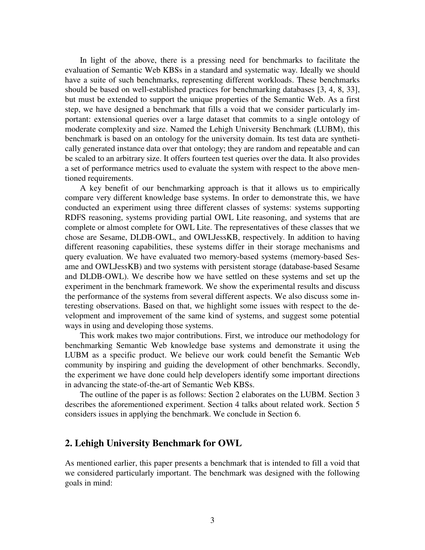In light of the above, there is a pressing need for benchmarks to facilitate the evaluation of Semantic Web KBSs in a standard and systematic way. Ideally we should have a suite of such benchmarks, representing different workloads. These benchmarks should be based on well-established practices for benchmarking databases [3, 4, 8, 33], but must be extended to support the unique properties of the Semantic Web. As a first step, we have designed a benchmark that fills a void that we consider particularly important: extensional queries over a large dataset that commits to a single ontology of moderate complexity and size. Named the Lehigh University Benchmark (LUBM), this benchmark is based on an ontology for the university domain. Its test data are synthetically generated instance data over that ontology; they are random and repeatable and can be scaled to an arbitrary size. It offers fourteen test queries over the data. It also provides a set of performance metrics used to evaluate the system with respect to the above mentioned requirements.

A key benefit of our benchmarking approach is that it allows us to empirically compare very different knowledge base systems. In order to demonstrate this, we have conducted an experiment using three different classes of systems: systems supporting RDFS reasoning, systems providing partial OWL Lite reasoning, and systems that are complete or almost complete for OWL Lite. The representatives of these classes that we chose are Sesame, DLDB-OWL, and OWLJessKB, respectively. In addition to having different reasoning capabilities, these systems differ in their storage mechanisms and query evaluation. We have evaluated two memory-based systems (memory-based Sesame and OWLJessKB) and two systems with persistent storage (database-based Sesame and DLDB-OWL). We describe how we have settled on these systems and set up the experiment in the benchmark framework. We show the experimental results and discuss the performance of the systems from several different aspects. We also discuss some interesting observations. Based on that, we highlight some issues with respect to the development and improvement of the same kind of systems, and suggest some potential ways in using and developing those systems.

This work makes two major contributions. First, we introduce our methodology for benchmarking Semantic Web knowledge base systems and demonstrate it using the LUBM as a specific product. We believe our work could benefit the Semantic Web community by inspiring and guiding the development of other benchmarks. Secondly, the experiment we have done could help developers identify some important directions in advancing the state-of-the-art of Semantic Web KBSs.

The outline of the paper is as follows: Section 2 elaborates on the LUBM. Section 3 describes the aforementioned experiment. Section 4 talks about related work. Section 5 considers issues in applying the benchmark. We conclude in Section 6.

# **2. Lehigh University Benchmark for OWL**

As mentioned earlier, this paper presents a benchmark that is intended to fill a void that we considered particularly important. The benchmark was designed with the following goals in mind: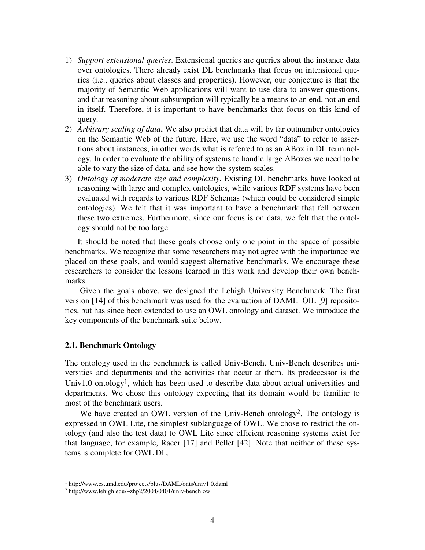- 1) *Support extensional queries*. Extensional queries are queries about the instance data over ontologies. There already exist DL benchmarks that focus on intensional queries (i.e., queries about classes and properties). However, our conjecture is that the majority of Semantic Web applications will want to use data to answer questions, and that reasoning about subsumption will typically be a means to an end, not an end in itself. Therefore, it is important to have benchmarks that focus on this kind of query.
- 2) *Arbitrary scaling of data***.** We also predict that data will by far outnumber ontologies on the Semantic Web of the future. Here, we use the word "data" to refer to assertions about instances, in other words what is referred to as an ABox in DL terminology. In order to evaluate the ability of systems to handle large ABoxes we need to be able to vary the size of data, and see how the system scales.
- 3) *Ontology of moderate size and complexity***.** Existing DL benchmarks have looked at reasoning with large and complex ontologies, while various RDF systems have been evaluated with regards to various RDF Schemas (which could be considered simple ontologies). We felt that it was important to have a benchmark that fell between these two extremes. Furthermore, since our focus is on data, we felt that the ontology should not be too large.

It should be noted that these goals choose only one point in the space of possible benchmarks. We recognize that some researchers may not agree with the importance we placed on these goals, and would suggest alternative benchmarks. We encourage these researchers to consider the lessons learned in this work and develop their own benchmarks.

Given the goals above, we designed the Lehigh University Benchmark. The first version [14] of this benchmark was used for the evaluation of DAML+OIL [9] repositories, but has since been extended to use an OWL ontology and dataset. We introduce the key components of the benchmark suite below.

## **2.1. Benchmark Ontology**

The ontology used in the benchmark is called Univ-Bench. Univ-Bench describes universities and departments and the activities that occur at them. Its predecessor is the Univ1.0 ontology<sup>1</sup>, which has been used to describe data about actual universities and departments. We chose this ontology expecting that its domain would be familiar to most of the benchmark users.

We have created an OWL version of the Univ-Bench ontology<sup>2</sup>. The ontology is expressed in OWL Lite, the simplest sublanguage of OWL. We chose to restrict the ontology (and also the test data) to OWL Lite since efficient reasoning systems exist for that language, for example, Racer [17] and Pellet [42]. Note that neither of these systems is complete for OWL DL.

<sup>1</sup> http://www.cs.umd.edu/projects/plus/DAML/onts/univ1.0.daml

<sup>2</sup> http://www.lehigh.edu/~zhp2/2004/0401/univ-bench.owl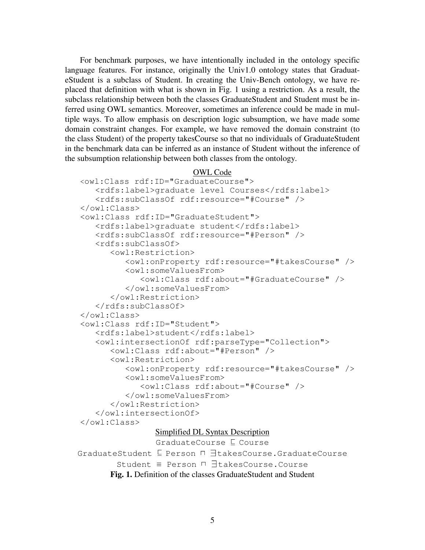For benchmark purposes, we have intentionally included in the ontology specific language features. For instance, originally the Univ1.0 ontology states that GraduateStudent is a subclass of Student. In creating the Univ-Bench ontology, we have replaced that definition with what is shown in Fig. 1 using a restriction. As a result, the subclass relationship between both the classes GraduateStudent and Student must be inferred using OWL semantics. Moreover, sometimes an inference could be made in multiple ways. To allow emphasis on description logic subsumption, we have made some domain constraint changes. For example, we have removed the domain constraint (to the class Student) of the property takesCourse so that no individuals of GraduateStudent in the benchmark data can be inferred as an instance of Student without the inference of the subsumption relationship between both classes from the ontology.

#### OWL Code

```
<owl:Class rdf:ID="GraduateCourse">
  <rdfs:label>graduate level Courses</rdfs:label>
   <rdfs:subClassOf rdf:resource="#Course" />
</owl:Class>
<owl:Class rdf:ID="GraduateStudent">
   <rdfs:label>graduate student</rdfs:label>
   <rdfs:subClassOf rdf:resource="#Person" />
   <rdfs:subClassOf>
      <owl:Restriction>
         <owl:onProperty rdf:resource="#takesCourse" />
         <owl:someValuesFrom>
            <owl:Class rdf:about="#GraduateCourse" />
         </owl:someValuesFrom>
      </owl:Restriction>
   </rdfs:subClassOf>
</owl:Class>
<owl:Class rdf:ID="Student">
   <rdfs:label>student</rdfs:label>
  <owl:intersectionOf rdf:parseType="Collection">
      <owl:Class rdf:about="#Person" />
      <owl:Restriction>
         <owl:onProperty rdf:resource="#takesCourse" />
         <owl:someValuesFrom>
            <owl:Class rdf:about="#Course" />
         </owl:someValuesFrom>
      </owl:Restriction>
   </owl:intersectionOf>
</owl:Class>
```
# Simplified DL Syntax Description

GraduateCourse  $\subseteq$  Course GraduateStudent  $\subseteq$  Person  $\Box$  dakesCourse.GraduateCourse Student  $\equiv$  Person  $\Box$  dakesCourse. Course **Fig. 1.** Definition of the classes GraduateStudent and Student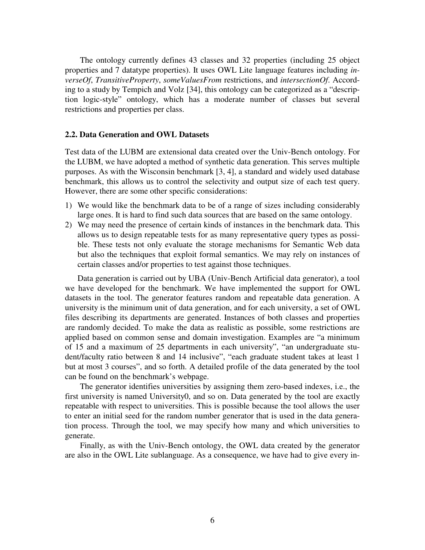The ontology currently defines 43 classes and 32 properties (including 25 object properties and 7 datatype properties). It uses OWL Lite language features including *inverseOf*, *TransitiveProperty*, *someValuesFrom* restrictions, and *intersectionOf*. According to a study by Tempich and Volz [34], this ontology can be categorized as a "description logic-style" ontology, which has a moderate number of classes but several restrictions and properties per class.

#### **2.2. Data Generation and OWL Datasets**

Test data of the LUBM are extensional data created over the Univ-Bench ontology. For the LUBM, we have adopted a method of synthetic data generation. This serves multiple purposes. As with the Wisconsin benchmark [3, 4], a standard and widely used database benchmark, this allows us to control the selectivity and output size of each test query. However, there are some other specific considerations:

- 1) We would like the benchmark data to be of a range of sizes including considerably large ones. It is hard to find such data sources that are based on the same ontology.
- 2) We may need the presence of certain kinds of instances in the benchmark data. This allows us to design repeatable tests for as many representative query types as possible. These tests not only evaluate the storage mechanisms for Semantic Web data but also the techniques that exploit formal semantics. We may rely on instances of certain classes and/or properties to test against those techniques.

Data generation is carried out by UBA (Univ-Bench Artificial data generator), a tool we have developed for the benchmark. We have implemented the support for OWL datasets in the tool. The generator features random and repeatable data generation. A university is the minimum unit of data generation, and for each university, a set of OWL files describing its departments are generated. Instances of both classes and properties are randomly decided. To make the data as realistic as possible, some restrictions are applied based on common sense and domain investigation. Examples are "a minimum of 15 and a maximum of 25 departments in each university", "an undergraduate student/faculty ratio between 8 and 14 inclusive", "each graduate student takes at least 1 but at most 3 courses", and so forth. A detailed profile of the data generated by the tool can be found on the benchmark's webpage.

The generator identifies universities by assigning them zero-based indexes, i.e., the first university is named University0, and so on. Data generated by the tool are exactly repeatable with respect to universities. This is possible because the tool allows the user to enter an initial seed for the random number generator that is used in the data generation process. Through the tool, we may specify how many and which universities to generate.

Finally, as with the Univ-Bench ontology, the OWL data created by the generator are also in the OWL Lite sublanguage. As a consequence, we have had to give every in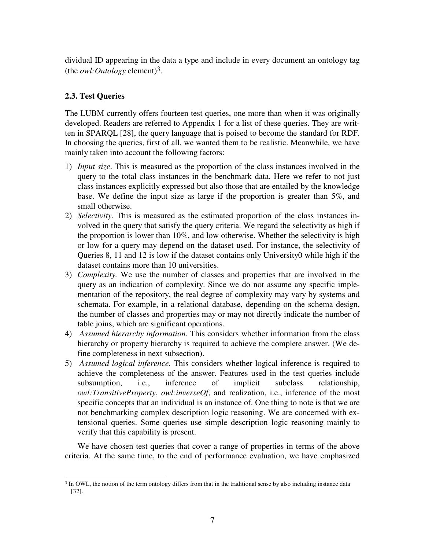dividual ID appearing in the data a type and include in every document an ontology tag (the *owl:Ontology* element) 3.

# **2.3. Test Queries**

The LUBM currently offers fourteen test queries, one more than when it was originally developed. Readers are referred to Appendix 1 for a list of these queries. They are written in SPARQL [28], the query language that is poised to become the standard for RDF. In choosing the queries, first of all, we wanted them to be realistic. Meanwhile, we have mainly taken into account the following factors:

- 1) *Input size*. This is measured as the proportion of the class instances involved in the query to the total class instances in the benchmark data. Here we refer to not just class instances explicitly expressed but also those that are entailed by the knowledge base. We define the input size as large if the proportion is greater than 5%, and small otherwise.
- 2) *Selectivity.* This is measured as the estimated proportion of the class instances involved in the query that satisfy the query criteria. We regard the selectivity as high if the proportion is lower than 10%, and low otherwise. Whether the selectivity is high or low for a query may depend on the dataset used. For instance, the selectivity of Queries 8, 11 and 12 is low if the dataset contains only University0 while high if the dataset contains more than 10 universities.
- 3) *Complexity.* We use the number of classes and properties that are involved in the query as an indication of complexity. Since we do not assume any specific implementation of the repository, the real degree of complexity may vary by systems and schemata. For example, in a relational database, depending on the schema design, the number of classes and properties may or may not directly indicate the number of table joins, which are significant operations.
- 4) *Assumed hierarchy information.* This considers whether information from the class hierarchy or property hierarchy is required to achieve the complete answer. (We define completeness in next subsection).
- 5) *Assumed logical inference.* This considers whether logical inference is required to achieve the completeness of the answer. Features used in the test queries include subsumption, i.e., inference of implicit subclass relationship, *owl:TransitiveProperty*, *owl:inverseOf*, and realization, i.e., inference of the most specific concepts that an individual is an instance of. One thing to note is that we are not benchmarking complex description logic reasoning. We are concerned with extensional queries. Some queries use simple description logic reasoning mainly to verify that this capability is present.

We have chosen test queries that cover a range of properties in terms of the above criteria. At the same time, to the end of performance evaluation, we have emphasized

<sup>&</sup>lt;sup>3</sup> In OWL, the notion of the term ontology differs from that in the traditional sense by also including instance data [32].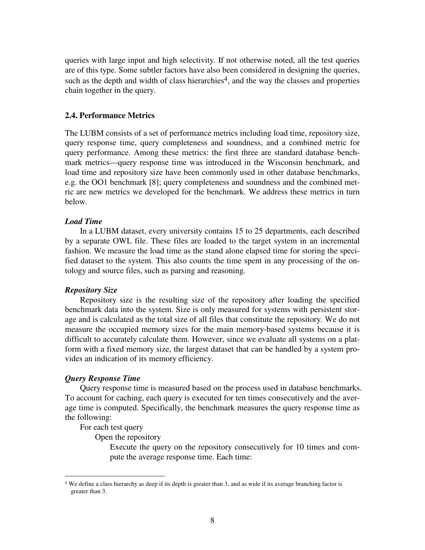queries with large input and high selectivity. If not otherwise noted, all the test queries are of this type. Some subtler factors have also been considered in designing the queries, such as the depth and width of class hierarchies 4, and the way the classes and properties chain together in the query.

## **2.4. Performance Metrics**

The LUBM consists of a set of performance metrics including load time, repository size, query response time, query completeness and soundness, and a combined metric for query performance. Among these metrics: the first three are standard database benchmark metrics—query response time was introduced in the Wisconsin benchmark, and load time and repository size have been commonly used in other database benchmarks, e.g. the OO1 benchmark [8]; query completeness and soundness and the combined metric are new metrics we developed for the benchmark. We address these metrics in turn below.

## *Load Time*

In a LUBM dataset, every university contains 15 to 25 departments, each described by a separate OWL file. These files are loaded to the target system in an incremental fashion. We measure the load time as the stand alone elapsed time for storing the specified dataset to the system. This also counts the time spent in any processing of the ontology and source files, such as parsing and reasoning.

## *Repository Size*

Repository size is the resulting size of the repository after loading the specified benchmark data into the system. Size is only measured for systems with persistent storage and is calculated as the total size of all files that constitute the repository. We do not measure the occupied memory sizes for the main memory-based systems because it is difficult to accurately calculate them. However, since we evaluate all systems on a platform with a fixed memory size, the largest dataset that can be handled by a system provides an indication of its memory efficiency.

## *Query Response Time*

Query response time is measured based on the process used in database benchmarks. To account for caching, each query is executed for ten times consecutively and the average time is computed. Specifically, the benchmark measures the query response time as the following:

For each test query

Open the repository

Execute the query on the repository consecutively for 10 times and compute the average response time. Each time:

 $4$  We define a class hierarchy as deep if its depth is greater than 3, and as wide if its average branching factor is greater than 3.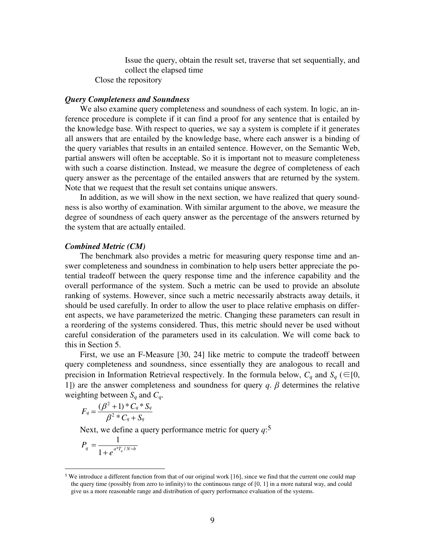Issue the query, obtain the result set, traverse that set sequentially, and collect the elapsed time Close the repository

#### *Query Completeness and Soundness*

We also examine query completeness and soundness of each system. In logic, an inference procedure is complete if it can find a proof for any sentence that is entailed by the knowledge base. With respect to queries, we say a system is complete if it generates all answers that are entailed by the knowledge base, where each answer is a binding of the query variables that results in an entailed sentence. However, on the Semantic Web, partial answers will often be acceptable. So it is important not to measure completeness with such a coarse distinction. Instead, we measure the degree of completeness of each query answer as the percentage of the entailed answers that are returned by the system. Note that we request that the result set contains unique answers.

In addition, as we will show in the next section, we have realized that query soundness is also worthy of examination. With similar argument to the above, we measure the degree of soundness of each query answer as the percentage of the answers returned by the system that are actually entailed.

#### *Combined Metric (CM)*

The benchmark also provides a metric for measuring query response time and answer completeness and soundness in combination to help users better appreciate the potential tradeoff between the query response time and the inference capability and the overall performance of the system. Such a metric can be used to provide an absolute ranking of systems. However, since such a metric necessarily abstracts away details, it should be used carefully. In order to allow the user to place relative emphasis on different aspects, we have parameterized the metric. Changing these parameters can result in a reordering of the systems considered. Thus, this metric should never be used without careful consideration of the parameters used in its calculation. We will come back to this in Section 5.

First, we use an F-Measure [30, 24] like metric to compute the tradeoff between query completeness and soundness, since essentially they are analogous to recall and precision in Information Retrieval respectively. In the formula below,  $C_q$  and  $S_q$  ( $\in [0, 1]$ 1]) are the answer completeness and soundness for query  $q$ .  $\beta$  determines the relative weighting between  $S_q$  and  $C_q$ .

$$
F_q = \frac{(\beta^2 + 1) * C_q * S_q}{\beta^2 * C_q + S_q}
$$

Next, we define a query performance metric for query *q*: 5

$$
P_q = \frac{1}{1 + e^{a^*T_q/N - b}}
$$

<sup>&</sup>lt;sup>5</sup> We introduce a different function from that of our original work [16], since we find that the current one could map the query time (possibly from zero to infinity) to the continuous range of [0, 1] in a more natural way, and could give us a more reasonable range and distribution of query performance evaluation of the systems.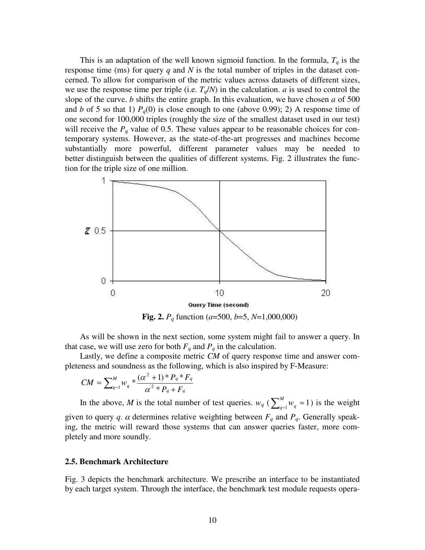This is an adaptation of the well known sigmoid function. In the formula, *T<sup>q</sup>* is the response time (ms) for query *q* and *N* is the total number of triples in the dataset concerned. To allow for comparison of the metric values across datasets of different sizes, we use the response time per triple (i.e.  $T_q/N$ ) in the calculation. *a* is used to control the slope of the curve. *b* shifts the entire graph. In this evaluation, we have chosen *a* of 500 and *b* of 5 so that 1)  $P_q(0)$  is close enough to one (above 0.99); 2) A response time of one second for 100,000 triples (roughly the size of the smallest dataset used in our test) will receive the  $P_q$  value of 0.5. These values appear to be reasonable choices for contemporary systems. However, as the state-of-the-art progresses and machines become substantially more powerful, different parameter values may be needed to better distinguish between the qualities of different systems. Fig. 2 illustrates the function for the triple size of one million.



**Fig. 2.** *P<sup>q</sup>* function (*a*=500, *b*=5, *N*=1,000,000)

As will be shown in the next section, some system might fail to answer a query. In that case, we will use zero for both  $F_q$  and  $P_q$  in the calculation.

Lastly, we define a composite metric *CM* of query response time and answer completeness and soundness as the following, which is also inspired by F-Measure:

$$
CM = \sum_{q=1}^{M} w_q * \frac{(\alpha^2 + 1) * P_q * F_q}{\alpha^2 * P_q + F_q}
$$

In the above, *M* is the total number of test queries.  $w_q$  ( $\sum_{q=1}^{M} w_q$  =  $w_q$ <sup>*w*</sup><sub>q</sub> = 1) is the weight given to query *q*.  $\alpha$  determines relative weighting between  $F_q$  and  $P_q$ . Generally speaking, the metric will reward those systems that can answer queries faster, more completely and more soundly.

#### **2.5. Benchmark Architecture**

Fig. 3 depicts the benchmark architecture. We prescribe an interface to be instantiated by each target system. Through the interface, the benchmark test module requests opera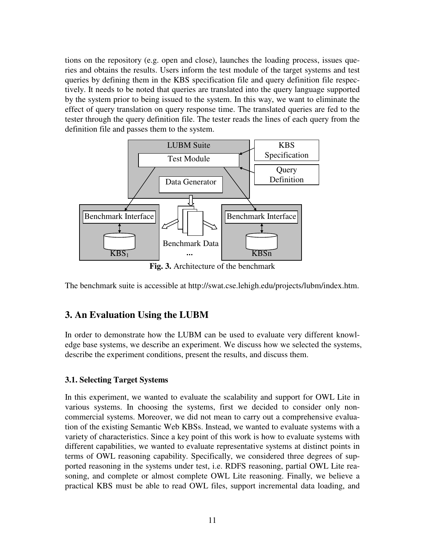tions on the repository (e.g. open and close), launches the loading process, issues queries and obtains the results. Users inform the test module of the target systems and test queries by defining them in the KBS specification file and query definition file respectively. It needs to be noted that queries are translated into the query language supported by the system prior to being issued to the system. In this way, we want to eliminate the effect of query translation on query response time. The translated queries are fed to the tester through the query definition file. The tester reads the lines of each query from the definition file and passes them to the system.



**Fig. 3.** Architecture of the benchmark

The benchmark suite is accessible at http://swat.cse.lehigh.edu/projects/lubm/index.htm.

# **3. An Evaluation Using the LUBM**

In order to demonstrate how the LUBM can be used to evaluate very different knowledge base systems, we describe an experiment. We discuss how we selected the systems, describe the experiment conditions, present the results, and discuss them.

# **3.1. Selecting Target Systems**

In this experiment, we wanted to evaluate the scalability and support for OWL Lite in various systems. In choosing the systems, first we decided to consider only noncommercial systems. Moreover, we did not mean to carry out a comprehensive evaluation of the existing Semantic Web KBSs. Instead, we wanted to evaluate systems with a variety of characteristics. Since a key point of this work is how to evaluate systems with different capabilities, we wanted to evaluate representative systems at distinct points in terms of OWL reasoning capability. Specifically, we considered three degrees of supported reasoning in the systems under test, i.e. RDFS reasoning, partial OWL Lite reasoning, and complete or almost complete OWL Lite reasoning. Finally, we believe a practical KBS must be able to read OWL files, support incremental data loading, and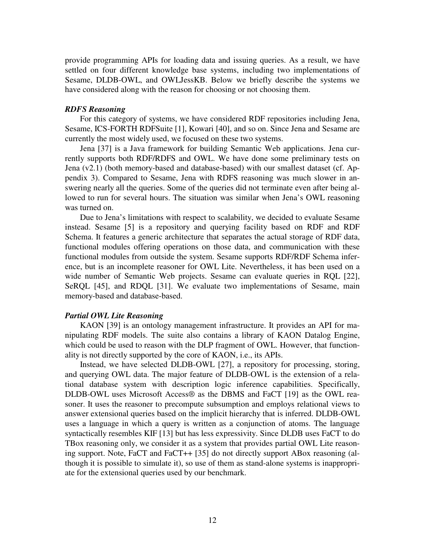provide programming APIs for loading data and issuing queries. As a result, we have settled on four different knowledge base systems, including two implementations of Sesame, DLDB-OWL, and OWLJessKB. Below we briefly describe the systems we have considered along with the reason for choosing or not choosing them.

#### *RDFS Reasoning*

For this category of systems, we have considered RDF repositories including Jena, Sesame, ICS-FORTH RDFSuite [1], Kowari [40], and so on. Since Jena and Sesame are currently the most widely used, we focused on these two systems.

Jena [37] is a Java framework for building Semantic Web applications. Jena currently supports both RDF/RDFS and OWL. We have done some preliminary tests on Jena (v2.1) (both memory-based and database-based) with our smallest dataset (cf. Appendix 3). Compared to Sesame, Jena with RDFS reasoning was much slower in answering nearly all the queries. Some of the queries did not terminate even after being allowed to run for several hours. The situation was similar when Jena's OWL reasoning was turned on.

Due to Jena's limitations with respect to scalability, we decided to evaluate Sesame instead. Sesame [5] is a repository and querying facility based on RDF and RDF Schema. It features a generic architecture that separates the actual storage of RDF data, functional modules offering operations on those data, and communication with these functional modules from outside the system. Sesame supports RDF/RDF Schema inference, but is an incomplete reasoner for OWL Lite. Nevertheless, it has been used on a wide number of Semantic Web projects. Sesame can evaluate queries in RQL [22], SeRQL [45], and RDQL [31]. We evaluate two implementations of Sesame, main memory-based and database-based.

#### *Partial OWL Lite Reasoning*

KAON [39] is an ontology management infrastructure. It provides an API for manipulating RDF models. The suite also contains a library of KAON Datalog Engine, which could be used to reason with the DLP fragment of OWL. However, that functionality is not directly supported by the core of KAON, i.e., its APIs.

Instead, we have selected DLDB-OWL [27], a repository for processing, storing, and querying OWL data. The major feature of DLDB-OWL is the extension of a relational database system with description logic inference capabilities. Specifically, DLDB-OWL uses Microsoft Access® as the DBMS and FaCT [19] as the OWL reasoner. It uses the reasoner to precompute subsumption and employs relational views to answer extensional queries based on the implicit hierarchy that is inferred. DLDB-OWL uses a language in which a query is written as a conjunction of atoms. The language syntactically resembles KIF [13] but has less expressivity. Since DLDB uses FaCT to do TBox reasoning only, we consider it as a system that provides partial OWL Lite reasoning support. Note, FaCT and FaCT++ [35] do not directly support ABox reasoning (although it is possible to simulate it), so use of them as stand-alone systems is inappropriate for the extensional queries used by our benchmark.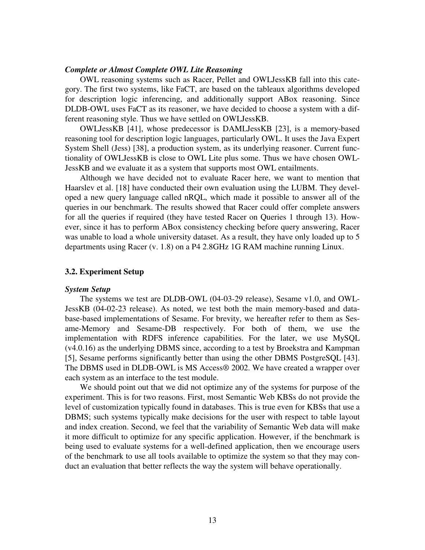### *Complete or Almost Complete OWL Lite Reasoning*

OWL reasoning systems such as Racer, Pellet and OWLJessKB fall into this category. The first two systems, like FaCT, are based on the tableaux algorithms developed for description logic inferencing, and additionally support ABox reasoning. Since DLDB-OWL uses FaCT as its reasoner, we have decided to choose a system with a different reasoning style. Thus we have settled on OWLJessKB.

OWLJessKB [41], whose predecessor is DAMLJessKB [23], is a memory-based reasoning tool for description logic languages, particularly OWL. It uses the Java Expert System Shell (Jess) [38], a production system, as its underlying reasoner. Current functionality of OWLJessKB is close to OWL Lite plus some. Thus we have chosen OWL-JessKB and we evaluate it as a system that supports most OWL entailments.

Although we have decided not to evaluate Racer here, we want to mention that Haarslev et al. [18] have conducted their own evaluation using the LUBM. They developed a new query language called nRQL, which made it possible to answer all of the queries in our benchmark. The results showed that Racer could offer complete answers for all the queries if required (they have tested Racer on Queries 1 through 13). However, since it has to perform ABox consistency checking before query answering, Racer was unable to load a whole university dataset. As a result, they have only loaded up to 5 departments using Racer (v. 1.8) on a P4 2.8GHz 1G RAM machine running Linux.

#### **3.2. Experiment Setup**

#### *System Setup*

The systems we test are DLDB-OWL (04-03-29 release), Sesame v1.0, and OWL-JessKB (04-02-23 release). As noted, we test both the main memory-based and database-based implementations of Sesame. For brevity, we hereafter refer to them as Sesame-Memory and Sesame-DB respectively. For both of them, we use the implementation with RDFS inference capabilities. For the later, we use MySQL (v4.0.16) as the underlying DBMS since, according to a test by Broekstra and Kampman [5], Sesame performs significantly better than using the other DBMS PostgreSQL [43]. The DBMS used in DLDB-OWL is MS Access® 2002. We have created a wrapper over each system as an interface to the test module.

We should point out that we did not optimize any of the systems for purpose of the experiment. This is for two reasons. First, most Semantic Web KBSs do not provide the level of customization typically found in databases. This is true even for KBSs that use a DBMS; such systems typically make decisions for the user with respect to table layout and index creation. Second, we feel that the variability of Semantic Web data will make it more difficult to optimize for any specific application. However, if the benchmark is being used to evaluate systems for a well-defined application, then we encourage users of the benchmark to use all tools available to optimize the system so that they may conduct an evaluation that better reflects the way the system will behave operationally.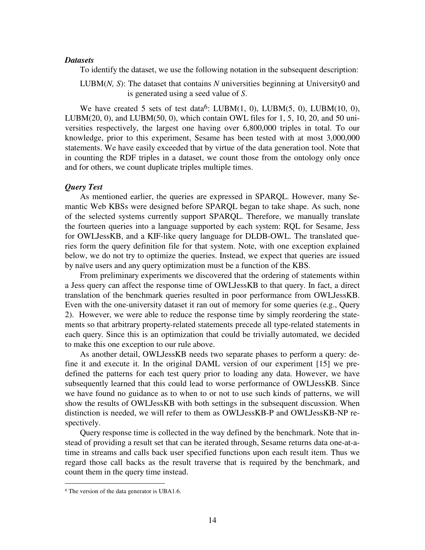#### *Datasets*

To identify the dataset, we use the following notation in the subsequent description:

LUBM(*N, S*): The dataset that contains *N* universities beginning at University0 and is generated using a seed value of *S*.

We have created 5 sets of test data<sup>6</sup>: LUBM $(1, 0)$ , LUBM $(5, 0)$ , LUBM $(10, 0)$ , LUBM(20, 0), and LUBM(50, 0), which contain OWL files for 1, 5, 10, 20, and 50 universities respectively, the largest one having over 6,800,000 triples in total. To our knowledge, prior to this experiment, Sesame has been tested with at most 3,000,000 statements. We have easily exceeded that by virtue of the data generation tool. Note that in counting the RDF triples in a dataset, we count those from the ontology only once and for others, we count duplicate triples multiple times.

## *Query Test*

As mentioned earlier, the queries are expressed in SPARQL. However, many Semantic Web KBSs were designed before SPARQL began to take shape. As such, none of the selected systems currently support SPARQL. Therefore, we manually translate the fourteen queries into a language supported by each system: RQL for Sesame, Jess for OWLJessKB, and a KIF-like query language for DLDB-OWL. The translated queries form the query definition file for that system. Note, with one exception explained below, we do not try to optimize the queries. Instead, we expect that queries are issued by naïve users and any query optimization must be a function of the KBS.

From preliminary experiments we discovered that the ordering of statements within a Jess query can affect the response time of OWLJessKB to that query. In fact, a direct translation of the benchmark queries resulted in poor performance from OWLJessKB. Even with the one-university dataset it ran out of memory for some queries (e.g., Query 2). However, we were able to reduce the response time by simply reordering the statements so that arbitrary property-related statements precede all type-related statements in each query. Since this is an optimization that could be trivially automated, we decided to make this one exception to our rule above.

As another detail, OWLJessKB needs two separate phases to perform a query: define it and execute it. In the original DAML version of our experiment [15] we predefined the patterns for each test query prior to loading any data. However, we have subsequently learned that this could lead to worse performance of OWLJessKB. Since we have found no guidance as to when to or not to use such kinds of patterns, we will show the results of OWLJessKB with both settings in the subsequent discussion. When distinction is needed, we will refer to them as OWLJessKB-P and OWLJessKB-NP respectively.

Query response time is collected in the way defined by the benchmark. Note that instead of providing a result set that can be iterated through, Sesame returns data one-at-atime in streams and calls back user specified functions upon each result item. Thus we regard those call backs as the result traverse that is required by the benchmark, and count them in the query time instead.

<sup>&</sup>lt;sup>6</sup> The version of the data generator is UBA1.6.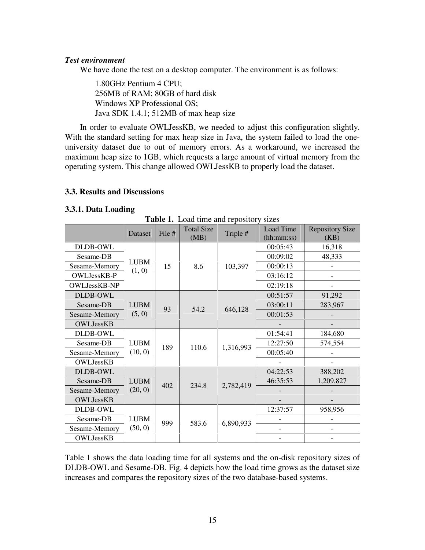# *Test environment*

We have done the test on a desktop computer. The environment is as follows:

1.80GHz Pentium 4 CPU; 256MB of RAM; 80GB of hard disk Windows XP Professional OS; Java SDK 1.4.1; 512MB of max heap size

In order to evaluate OWLJessKB, we needed to adjust this configuration slightly. With the standard setting for max heap size in Java, the system failed to load the oneuniversity dataset due to out of memory errors. As a workaround, we increased the maximum heap size to 1GB, which requests a large amount of virtual memory from the operating system. This change allowed OWLJessKB to properly load the dataset.

# **3.3. Results and Discussions**

## **3.3.1. Data Loading**

|                 | Dataset     | File # | <b>Total Size</b><br>(MB) | Triple #  | Load Time<br>(hh:mm:ss) | <b>Repository Size</b><br>(KB) |
|-----------------|-------------|--------|---------------------------|-----------|-------------------------|--------------------------------|
| <b>DLDB-OWL</b> |             |        |                           |           | 00:05:43                | 16,318                         |
| Sesame-DB       |             |        |                           |           | 00:09:02                | 48,333                         |
| Sesame-Memory   | <b>LUBM</b> | 15     | 8.6                       | 103,397   | 00:00:13                |                                |
| OWLJessKB-P     | (1, 0)      |        |                           |           | 03:16:12                |                                |
| OWLJessKB-NP    |             |        |                           |           | 02:19:18                |                                |
| <b>DLDB-OWL</b> |             |        |                           |           | 00:51:57                | 91,292                         |
| Sesame-DB       | <b>LUBM</b> | 93     | 54.2                      | 646,128   | 03:00:11                | 283,967                        |
| Sesame-Memory   | (5, 0)      |        |                           |           | 00:01:53                |                                |
| OWLJessKB       |             |        |                           |           |                         |                                |
| <b>DLDB-OWL</b> |             | 189    | 110.6                     |           | 01:54:41                | 184,680                        |
| Sesame-DB       | <b>LUBM</b> |        |                           | 1,316,993 | 12:27:50                | 574,554                        |
| Sesame-Memory   | (10, 0)     |        |                           |           | 00:05:40                |                                |
| OWLJessKB       |             |        |                           |           |                         |                                |
| <b>DLDB-OWL</b> |             |        |                           |           | 04:22:53                | 388,202                        |
| Sesame-DB       | <b>LUBM</b> | 402    | 234.8                     | 2,782,419 | 46:35:53                | 1,209,827                      |
| Sesame-Memory   | (20, 0)     |        |                           |           |                         |                                |
| OWLJessKB       |             |        |                           |           |                         |                                |
| <b>DLDB-OWL</b> |             |        |                           |           | 12:37:57                | 958,956                        |
| Sesame-DB       | <b>LUBM</b> | 999    | 583.6                     | 6,890,933 |                         |                                |
| Sesame-Memory   | (50, 0)     |        |                           |           |                         |                                |
| OWLJessKB       |             |        |                           |           |                         |                                |

**Table 1.** Load time and repository sizes

Table 1 shows the data loading time for all systems and the on-disk repository sizes of DLDB-OWL and Sesame-DB. Fig. 4 depicts how the load time grows as the dataset size increases and compares the repository sizes of the two database-based systems.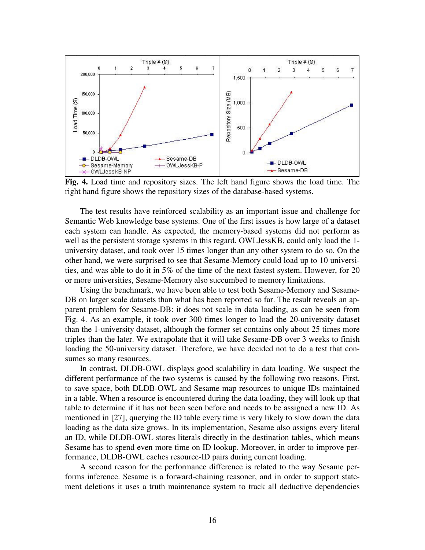

**Fig. 4.** Load time and repository sizes. The left hand figure shows the load time. The right hand figure shows the repository sizes of the database-based systems.

The test results have reinforced scalability as an important issue and challenge for Semantic Web knowledge base systems. One of the first issues is how large of a dataset each system can handle. As expected, the memory-based systems did not perform as well as the persistent storage systems in this regard. OWLJessKB, could only load the 1 university dataset, and took over 15 times longer than any other system to do so. On the other hand, we were surprised to see that Sesame-Memory could load up to 10 universities, and was able to do it in 5% of the time of the next fastest system. However, for 20 or more universities, Sesame-Memory also succumbed to memory limitations.

Using the benchmark, we have been able to test both Sesame-Memory and Sesame-DB on larger scale datasets than what has been reported so far. The result reveals an apparent problem for Sesame-DB: it does not scale in data loading, as can be seen from Fig. 4. As an example, it took over 300 times longer to load the 20-university dataset than the 1-university dataset, although the former set contains only about 25 times more triples than the later. We extrapolate that it will take Sesame-DB over 3 weeks to finish loading the 50-university dataset. Therefore, we have decided not to do a test that consumes so many resources.

In contrast, DLDB-OWL displays good scalability in data loading. We suspect the different performance of the two systems is caused by the following two reasons. First, to save space, both DLDB-OWL and Sesame map resources to unique IDs maintained in a table. When a resource is encountered during the data loading, they will look up that table to determine if it has not been seen before and needs to be assigned a new ID. As mentioned in [27], querying the ID table every time is very likely to slow down the data loading as the data size grows. In its implementation, Sesame also assigns every literal an ID, while DLDB-OWL stores literals directly in the destination tables, which means Sesame has to spend even more time on ID lookup. Moreover, in order to improve performance, DLDB-OWL caches resource-ID pairs during current loading.

A second reason for the performance difference is related to the way Sesame performs inference. Sesame is a forward-chaining reasoner, and in order to support statement deletions it uses a truth maintenance system to track all deductive dependencies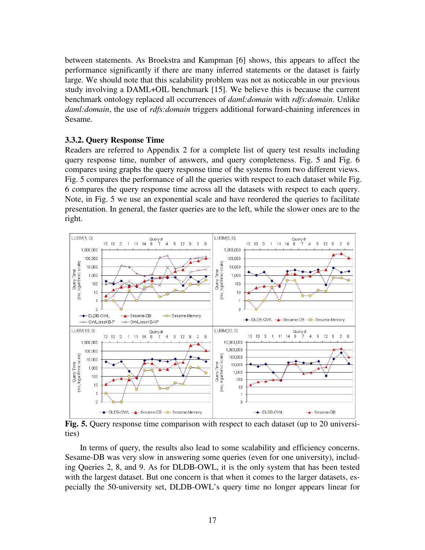between statements. As Broekstra and Kampman [6] shows, this appears to affect the performance significantly if there are many inferred statements or the dataset is fairly large. We should note that this scalability problem was not as noticeable in our previous study involving a DAML+OIL benchmark [15]. We believe this is because the current benchmark ontology replaced all occurrences of *daml:domain* with *rdfs:domain*. Unlike *daml:domain*, the use of *rdfs:domain* triggers additional forward-chaining inferences in Sesame.

# **3.3.2. Query Response Time**

Readers are referred to Appendix 2 for a complete list of query test results including query response time, number of answers, and query completeness. Fig. 5 and Fig. 6 compares using graphs the query response time of the systems from two different views. Fig. 5 compares the performance of all the queries with respect to each dataset while Fig. 6 compares the query response time across all the datasets with respect to each query. Note, in Fig. 5 we use an exponential scale and have reordered the queries to facilitate presentation. In general, the faster queries are to the left, while the slower ones are to the right.



**Fig. 5.** Query response time comparison with respect to each dataset (up to 20 universities)

In terms of query, the results also lead to some scalability and efficiency concerns. Sesame-DB was very slow in answering some queries (even for one university), including Queries 2, 8, and 9. As for DLDB-OWL, it is the only system that has been tested with the largest dataset. But one concern is that when it comes to the larger datasets, especially the 50-university set, DLDB-OWL's query time no longer appears linear for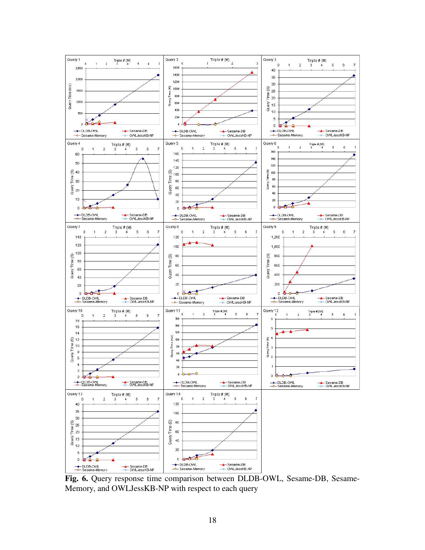

**Fig. 6.** Query response time comparison between DLDB-OWL, Sesame-DB, Sesame-Memory, and OWLJessKB-NP with respect to each query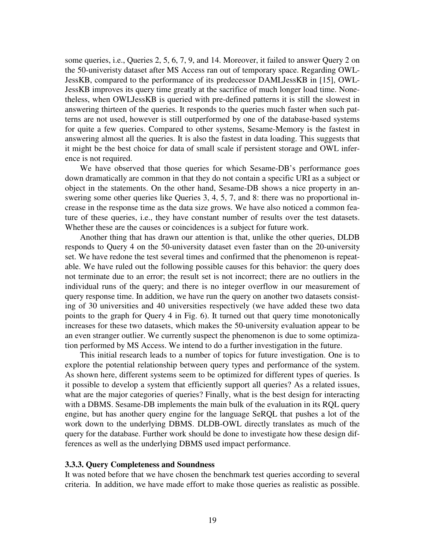some queries, i.e., Queries 2, 5, 6, 7, 9, and 14. Moreover, it failed to answer Query 2 on the 50-univeristy dataset after MS Access ran out of temporary space. Regarding OWL-JessKB, compared to the performance of its predecessor DAMLJessKB in [15], OWL-JessKB improves its query time greatly at the sacrifice of much longer load time. Nonetheless, when OWLJessKB is queried with pre-defined patterns it is still the slowest in answering thirteen of the queries. It responds to the queries much faster when such patterns are not used, however is still outperformed by one of the database-based systems for quite a few queries. Compared to other systems, Sesame-Memory is the fastest in answering almost all the queries. It is also the fastest in data loading. This suggests that it might be the best choice for data of small scale if persistent storage and OWL inference is not required.

We have observed that those queries for which Sesame-DB's performance goes down dramatically are common in that they do not contain a specific URI as a subject or object in the statements. On the other hand, Sesame-DB shows a nice property in answering some other queries like Queries 3, 4, 5, 7, and 8: there was no proportional increase in the response time as the data size grows. We have also noticed a common feature of these queries, i.e., they have constant number of results over the test datasets. Whether these are the causes or coincidences is a subject for future work.

Another thing that has drawn our attention is that, unlike the other queries, DLDB responds to Query 4 on the 50-university dataset even faster than on the 20-university set. We have redone the test several times and confirmed that the phenomenon is repeatable. We have ruled out the following possible causes for this behavior: the query does not terminate due to an error; the result set is not incorrect; there are no outliers in the individual runs of the query; and there is no integer overflow in our measurement of query response time. In addition, we have run the query on another two datasets consisting of 30 universities and 40 universities respectively (we have added these two data points to the graph for Query 4 in Fig. 6). It turned out that query time monotonically increases for these two datasets, which makes the 50-university evaluation appear to be an even stranger outlier. We currently suspect the phenomenon is due to some optimization performed by MS Access. We intend to do a further investigation in the future.

This initial research leads to a number of topics for future investigation. One is to explore the potential relationship between query types and performance of the system. As shown here, different systems seem to be optimized for different types of queries. Is it possible to develop a system that efficiently support all queries? As a related issues, what are the major categories of queries? Finally, what is the best design for interacting with a DBMS. Sesame-DB implements the main bulk of the evaluation in its RQL query engine, but has another query engine for the language SeRQL that pushes a lot of the work down to the underlying DBMS. DLDB-OWL directly translates as much of the query for the database. Further work should be done to investigate how these design differences as well as the underlying DBMS used impact performance.

#### **3.3.3. Query Completeness and Soundness**

It was noted before that we have chosen the benchmark test queries according to several criteria. In addition, we have made effort to make those queries as realistic as possible.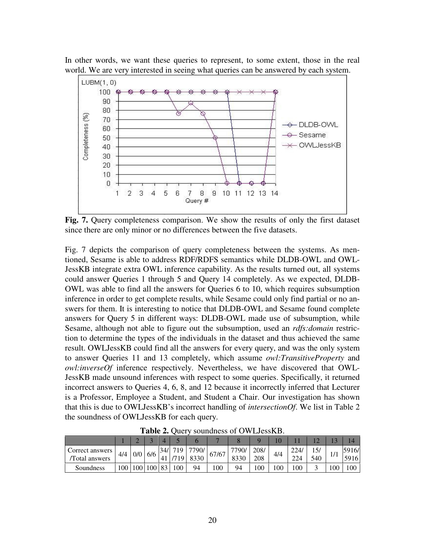In other words, we want these queries to represent, to some extent, those in the real world. We are very interested in seeing what queries can be answered by each system.



**Fig. 7.** Query completeness comparison. We show the results of only the first dataset since there are only minor or no differences between the five datasets.

Fig. 7 depicts the comparison of query completeness between the systems. As mentioned, Sesame is able to address RDF/RDFS semantics while DLDB-OWL and OWL-JessKB integrate extra OWL inference capability. As the results turned out, all systems could answer Queries 1 through 5 and Query 14 completely. As we expected, DLDB-OWL was able to find all the answers for Queries 6 to 10, which requires subsumption inference in order to get complete results, while Sesame could only find partial or no answers for them. It is interesting to notice that DLDB-OWL and Sesame found complete answers for Query 5 in different ways: DLDB-OWL made use of subsumption, while Sesame, although not able to figure out the subsumption, used an *rdfs:domain* restriction to determine the types of the individuals in the dataset and thus achieved the same result. OWLJessKB could find all the answers for every query, and was the only system to answer Queries 11 and 13 completely, which assume *owl:TransitiveProperty* and *owl:inverseOf* inference respectively. Nevertheless, we have discovered that OWL-JessKB made unsound inferences with respect to some queries. Specifically, it returned incorrect answers to Queries 4, 6, 8, and 12 because it incorrectly inferred that Lecturer is a Professor, Employee a Student, and Student a Chair. Our investigation has shown that this is due to OWLJessKB's incorrect handling of *intersectionOf*. We list in Table 2 the soundness of OWLJessKB for each query.

| -                                |              |     |      |     |                  |               |       |               |             |     |             |     |     |               |
|----------------------------------|--------------|-----|------|-----|------------------|---------------|-------|---------------|-------------|-----|-------------|-----|-----|---------------|
|                                  |              |     |      |     |                  |               |       |               |             |     |             |     |     |               |
| Correct answers<br>Total answers | 4/4          | 0/0 | 6/6  | 34/ | 19<br>$\sqrt{2}$ | 7790/<br>8330 | 67/67 | 7790/<br>8330 | 208/<br>208 | 4/4 | 224/<br>224 | 540 | 171 | 5916/<br>5916 |
| Soundness                        | $00^{\circ}$ | 100 | .001 | 83  | 100              | 94            | 100   | 94            | 100         | 00  | 100         |     | 100 | 100           |

**Table 2.** Query soundness of OWLJessKB.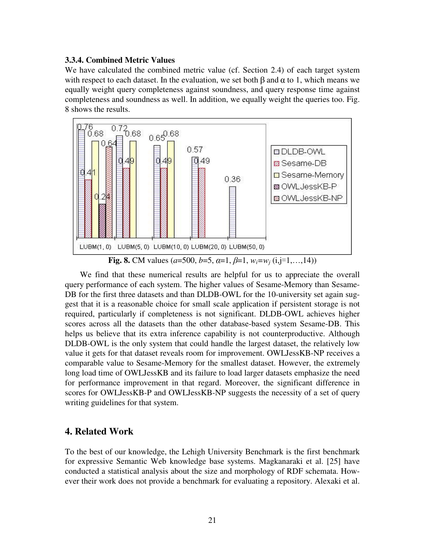#### **3.3.4. Combined Metric Values**

We have calculated the combined metric value (cf. Section 2.4) of each target system with respect to each dataset. In the evaluation, we set both  $\beta$  and  $\alpha$  to 1, which means we equally weight query completeness against soundness, and query response time against completeness and soundness as well. In addition, we equally weight the queries too. Fig. 8 shows the results.



We find that these numerical results are helpful for us to appreciate the overall query performance of each system. The higher values of Sesame-Memory than Sesame-DB for the first three datasets and than DLDB-OWL for the 10-university set again suggest that it is a reasonable choice for small scale application if persistent storage is not required, particularly if completeness is not significant. DLDB-OWL achieves higher scores across all the datasets than the other database-based system Sesame-DB. This helps us believe that its extra inference capability is not counterproductive. Although DLDB-OWL is the only system that could handle the largest dataset, the relatively low value it gets for that dataset reveals room for improvement. OWLJessKB-NP receives a comparable value to Sesame-Memory for the smallest dataset. However, the extremely long load time of OWLJessKB and its failure to load larger datasets emphasize the need for performance improvement in that regard. Moreover, the significant difference in scores for OWLJessKB-P and OWLJessKB-NP suggests the necessity of a set of query writing guidelines for that system.

# **4. Related Work**

To the best of our knowledge, the Lehigh University Benchmark is the first benchmark for expressive Semantic Web knowledge base systems. Magkanaraki et al. [25] have conducted a statistical analysis about the size and morphology of RDF schemata. However their work does not provide a benchmark for evaluating a repository. Alexaki et al.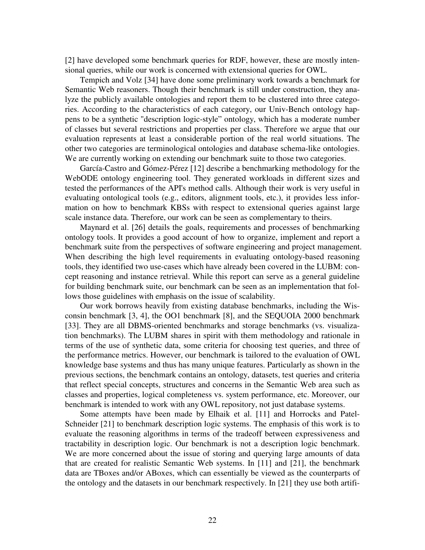[2] have developed some benchmark queries for RDF, however, these are mostly intensional queries, while our work is concerned with extensional queries for OWL.

Tempich and Volz [34] have done some preliminary work towards a benchmark for Semantic Web reasoners. Though their benchmark is still under construction, they analyze the publicly available ontologies and report them to be clustered into three categories. According to the characteristics of each category, our Univ-Bench ontology happens to be a synthetic "description logic-style" ontology, which has a moderate number of classes but several restrictions and properties per class. Therefore we argue that our evaluation represents at least a considerable portion of the real world situations. The other two categories are terminological ontologies and database schema-like ontologies. We are currently working on extending our benchmark suite to those two categories.

García-Castro and Gómez-Pérez [12] describe a benchmarking methodology for the WebODE ontology engineering tool. They generated workloads in different sizes and tested the performances of the API's method calls. Although their work is very useful in evaluating ontological tools (e.g., editors, alignment tools, etc.), it provides less information on how to benchmark KBSs with respect to extensional queries against large scale instance data. Therefore, our work can be seen as complementary to theirs.

Maynard et al. [26] details the goals, requirements and processes of benchmarking ontology tools. It provides a good account of how to organize, implement and report a benchmark suite from the perspectives of software engineering and project management. When describing the high level requirements in evaluating ontology-based reasoning tools, they identified two use-cases which have already been covered in the LUBM: concept reasoning and instance retrieval. While this report can serve as a general guideline for building benchmark suite, our benchmark can be seen as an implementation that follows those guidelines with emphasis on the issue of scalability.

Our work borrows heavily from existing database benchmarks, including the Wisconsin benchmark [3, 4], the OO1 benchmark [8], and the SEQUOIA 2000 benchmark [33]. They are all DBMS-oriented benchmarks and storage benchmarks (vs. visualization benchmarks). The LUBM shares in spirit with them methodology and rationale in terms of the use of synthetic data, some criteria for choosing test queries, and three of the performance metrics. However, our benchmark is tailored to the evaluation of OWL knowledge base systems and thus has many unique features. Particularly as shown in the previous sections, the benchmark contains an ontology, datasets, test queries and criteria that reflect special concepts, structures and concerns in the Semantic Web area such as classes and properties, logical completeness vs. system performance, etc. Moreover, our benchmark is intended to work with any OWL repository, not just database systems.

Some attempts have been made by Elhaik et al. [11] and Horrocks and Patel-Schneider [21] to benchmark description logic systems. The emphasis of this work is to evaluate the reasoning algorithms in terms of the tradeoff between expressiveness and tractability in description logic. Our benchmark is not a description logic benchmark. We are more concerned about the issue of storing and querying large amounts of data that are created for realistic Semantic Web systems. In [11] and [21], the benchmark data are TBoxes and/or ABoxes, which can essentially be viewed as the counterparts of the ontology and the datasets in our benchmark respectively. In [21] they use both artifi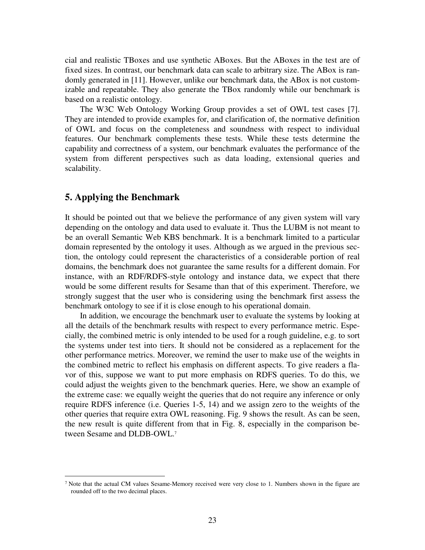cial and realistic TBoxes and use synthetic ABoxes. But the ABoxes in the test are of fixed sizes. In contrast, our benchmark data can scale to arbitrary size. The ABox is randomly generated in [11]. However, unlike our benchmark data, the ABox is not customizable and repeatable. They also generate the TBox randomly while our benchmark is based on a realistic ontology.

The W3C Web Ontology Working Group provides a set of OWL test cases [7]. They are intended to provide examples for, and clarification of, the normative definition of OWL and focus on the completeness and soundness with respect to individual features. Our benchmark complements these tests. While these tests determine the capability and correctness of a system, our benchmark evaluates the performance of the system from different perspectives such as data loading, extensional queries and scalability.

# **5. Applying the Benchmark**

It should be pointed out that we believe the performance of any given system will vary depending on the ontology and data used to evaluate it. Thus the LUBM is not meant to be an overall Semantic Web KBS benchmark. It is a benchmark limited to a particular domain represented by the ontology it uses. Although as we argued in the previous section, the ontology could represent the characteristics of a considerable portion of real domains, the benchmark does not guarantee the same results for a different domain. For instance, with an RDF/RDFS-style ontology and instance data, we expect that there would be some different results for Sesame than that of this experiment. Therefore, we strongly suggest that the user who is considering using the benchmark first assess the benchmark ontology to see if it is close enough to his operational domain.

In addition, we encourage the benchmark user to evaluate the systems by looking at all the details of the benchmark results with respect to every performance metric. Especially, the combined metric is only intended to be used for a rough guideline, e.g. to sort the systems under test into tiers. It should not be considered as a replacement for the other performance metrics. Moreover, we remind the user to make use of the weights in the combined metric to reflect his emphasis on different aspects. To give readers a flavor of this, suppose we want to put more emphasis on RDFS queries. To do this, we could adjust the weights given to the benchmark queries. Here, we show an example of the extreme case: we equally weight the queries that do not require any inference or only require RDFS inference (i.e. Queries 1-5, 14) and we assign zero to the weights of the other queries that require extra OWL reasoning. Fig. 9 shows the result. As can be seen, the new result is quite different from that in Fig. 8, especially in the comparison between Sesame and DLDB-OWL. 7

 $7$  Note that the actual CM values Sesame-Memory received were very close to 1. Numbers shown in the figure are rounded off to the two decimal places.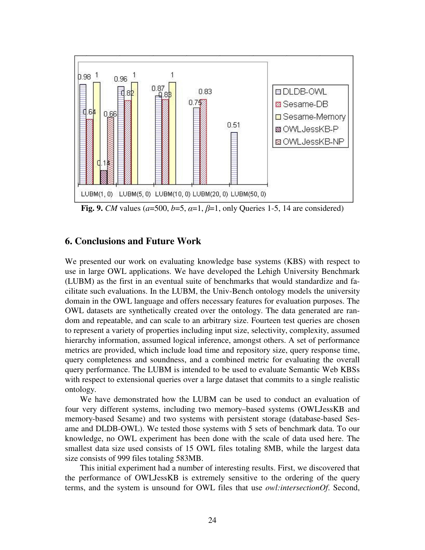

**Fig.** 9. *CM* values ( $a=500$ ,  $b=5$ ,  $a=1$ ,  $\beta=1$ , only Queries 1-5, 14 are considered)

# **6. Conclusions and Future Work**

We presented our work on evaluating knowledge base systems (KBS) with respect to use in large OWL applications. We have developed the Lehigh University Benchmark (LUBM) as the first in an eventual suite of benchmarks that would standardize and facilitate such evaluations. In the LUBM, the Univ-Bench ontology models the university domain in the OWL language and offers necessary features for evaluation purposes. The OWL datasets are synthetically created over the ontology. The data generated are random and repeatable, and can scale to an arbitrary size. Fourteen test queries are chosen to represent a variety of properties including input size, selectivity, complexity, assumed hierarchy information, assumed logical inference, amongst others. A set of performance metrics are provided, which include load time and repository size, query response time, query completeness and soundness, and a combined metric for evaluating the overall query performance. The LUBM is intended to be used to evaluate Semantic Web KBSs with respect to extensional queries over a large dataset that commits to a single realistic ontology.

We have demonstrated how the LUBM can be used to conduct an evaluation of four very different systems, including two memory–based systems (OWLJessKB and memory-based Sesame) and two systems with persistent storage (database-based Sesame and DLDB-OWL). We tested those systems with 5 sets of benchmark data. To our knowledge, no OWL experiment has been done with the scale of data used here. The smallest data size used consists of 15 OWL files totaling 8MB, while the largest data size consists of 999 files totaling 583MB.

This initial experiment had a number of interesting results. First, we discovered that the performance of OWLJessKB is extremely sensitive to the ordering of the query terms, and the system is unsound for OWL files that use *owl:intersectionOf*. Second,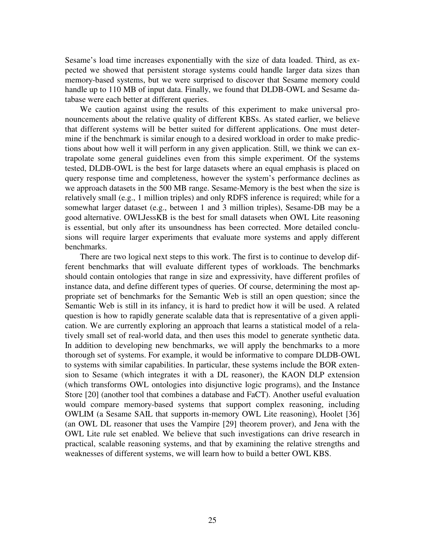Sesame's load time increases exponentially with the size of data loaded. Third, as expected we showed that persistent storage systems could handle larger data sizes than memory-based systems, but we were surprised to discover that Sesame memory could handle up to 110 MB of input data. Finally, we found that DLDB-OWL and Sesame database were each better at different queries.

We caution against using the results of this experiment to make universal pronouncements about the relative quality of different KBSs. As stated earlier, we believe that different systems will be better suited for different applications. One must determine if the benchmark is similar enough to a desired workload in order to make predictions about how well it will perform in any given application. Still, we think we can extrapolate some general guidelines even from this simple experiment. Of the systems tested, DLDB-OWL is the best for large datasets where an equal emphasis is placed on query response time and completeness, however the system's performance declines as we approach datasets in the 500 MB range. Sesame-Memory is the best when the size is relatively small (e.g., 1 million triples) and only RDFS inference is required; while for a somewhat larger dataset (e.g., between 1 and 3 million triples), Sesame-DB may be a good alternative. OWLJessKB is the best for small datasets when OWL Lite reasoning is essential, but only after its unsoundness has been corrected. More detailed conclusions will require larger experiments that evaluate more systems and apply different benchmarks.

There are two logical next steps to this work. The first is to continue to develop different benchmarks that will evaluate different types of workloads. The benchmarks should contain ontologies that range in size and expressivity, have different profiles of instance data, and define different types of queries. Of course, determining the most appropriate set of benchmarks for the Semantic Web is still an open question; since the Semantic Web is still in its infancy, it is hard to predict how it will be used. A related question is how to rapidly generate scalable data that is representative of a given application. We are currently exploring an approach that learns a statistical model of a relatively small set of real-world data, and then uses this model to generate synthetic data. In addition to developing new benchmarks, we will apply the benchmarks to a more thorough set of systems. For example, it would be informative to compare DLDB-OWL to systems with similar capabilities. In particular, these systems include the BOR extension to Sesame (which integrates it with a DL reasoner), the KAON DLP extension (which transforms OWL ontologies into disjunctive logic programs), and the Instance Store [20] (another tool that combines a database and FaCT). Another useful evaluation would compare memory-based systems that support complex reasoning, including OWLIM (a Sesame SAIL that supports in-memory OWL Lite reasoning), Hoolet [36] (an OWL DL reasoner that uses the Vampire [29] theorem prover), and Jena with the OWL Lite rule set enabled. We believe that such investigations can drive research in practical, scalable reasoning systems, and that by examining the relative strengths and weaknesses of different systems, we will learn how to build a better OWL KBS.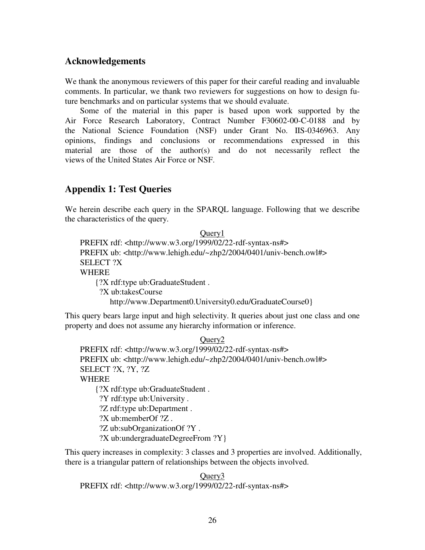# **Acknowledgements**

We thank the anonymous reviewers of this paper for their careful reading and invaluable comments. In particular, we thank two reviewers for suggestions on how to design future benchmarks and on particular systems that we should evaluate.

Some of the material in this paper is based upon work supported by the Air Force Research Laboratory, Contract Number F30602-00-C-0188 and by the National Science Foundation (NSF) under Grant No. IIS-0346963. Any opinions, findings and conclusions or recommendations expressed in this material are those of the author(s) and do not necessarily reflect the views of the United States Air Force or NSF.

# **Appendix 1: Test Queries**

We herein describe each query in the SPARQL language. Following that we describe the characteristics of the query.

Query1 PREFIX rdf: <http://www.w3.org/1999/02/22-rdf-syntax-ns#> PREFIX ub: <http://www.lehigh.edu/~zhp2/2004/0401/univ-bench.owl#> SELECT ?X WHERE {?X rdf:type ub:GraduateStudent . ?X ub:takesCourse

http://www.Department0.University0.edu/GraduateCourse0}

This query bears large input and high selectivity. It queries about just one class and one property and does not assume any hierarchy information or inference.

Query2 PREFIX rdf: <http://www.w3.org/1999/02/22-rdf-syntax-ns#> PREFIX ub: <http://www.lehigh.edu/~zhp2/2004/0401/univ-bench.owl#> SELECT ?X, ?Y, ?Z WHERE {?X rdf:type ub:GraduateStudent . ?Y rdf:type ub:University . ?Z rdf:type ub:Department . ?X ub:memberOf ?Z . ?Z ub:subOrganizationOf ?Y . ?X ub:undergraduateDegreeFrom ?Y}

This query increases in complexity: 3 classes and 3 properties are involved. Additionally, there is a triangular pattern of relationships between the objects involved.

Query3 PREFIX rdf: <http://www.w3.org/1999/02/22-rdf-syntax-ns#>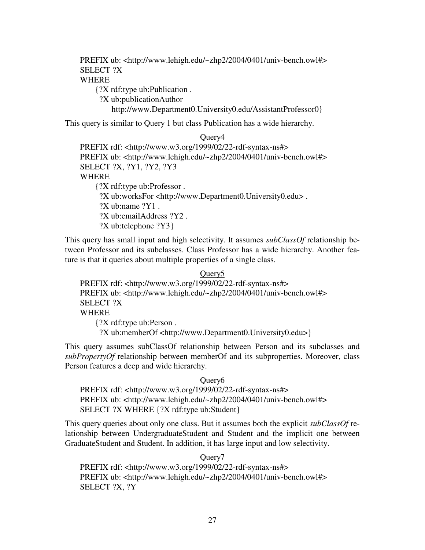PREFIX ub: <http://www.lehigh.edu/~zhp2/2004/0401/univ-bench.owl#> SELECT ?X **WHERE** {?X rdf:type ub:Publication . ?X ub:publicationAuthor

http://www.Department0.University0.edu/AssistantProfessor0}

This query is similar to Query 1 but class Publication has a wide hierarchy.

Query4

PREFIX rdf: <http://www.w3.org/1999/02/22-rdf-syntax-ns#> PREFIX ub: <http://www.lehigh.edu/~zhp2/2004/0401/univ-bench.owl#> SELECT ?X, ?Y1, ?Y2, ?Y3 WHERE {?X rdf:type ub:Professor . ?X ub:worksFor <http://www.Department0.University0.edu> . ?X ub:name ?Y1 . ?X ub:emailAddress ?Y2 . ?X ub:telephone ?Y3}

This query has small input and high selectivity. It assumes *subClassOf* relationship between Professor and its subclasses. Class Professor has a wide hierarchy. Another feature is that it queries about multiple properties of a single class.

Query5 PREFIX rdf: <http://www.w3.org/1999/02/22-rdf-syntax-ns#> PREFIX ub: <http://www.lehigh.edu/~zhp2/2004/0401/univ-bench.owl#> SELECT ?X WHERE {?X rdf:type ub:Person .

?X ub:memberOf <http://www.Department0.University0.edu>}

This query assumes subClassOf relationship between Person and its subclasses and *subPropertyOf* relationship between memberOf and its subproperties. Moreover, class Person features a deep and wide hierarchy.

Query6

PREFIX rdf: <http://www.w3.org/1999/02/22-rdf-syntax-ns#> PREFIX ub: <http://www.lehigh.edu/~zhp2/2004/0401/univ-bench.owl#> SELECT ?X WHERE {?X rdf:type ub:Student}

This query queries about only one class. But it assumes both the explicit *subClassOf* relationship between UndergraduateStudent and Student and the implicit one between GraduateStudent and Student. In addition, it has large input and low selectivity.

Query7 PREFIX rdf: <http://www.w3.org/1999/02/22-rdf-syntax-ns#> PREFIX ub: <http://www.lehigh.edu/~zhp2/2004/0401/univ-bench.owl#> SELECT ?X, ?Y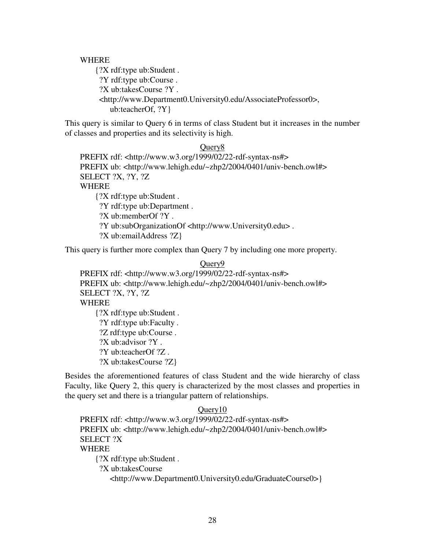# WHERE

{?X rdf:type ub:Student . ?Y rdf:type ub:Course . ?X ub:takesCourse ?Y . <http://www.Department0.University0.edu/AssociateProfessor0>, ub:teacherOf, ?Y}

This query is similar to Query 6 in terms of class Student but it increases in the number of classes and properties and its selectivity is high.

#### Query8

PREFIX rdf: <http://www.w3.org/1999/02/22-rdf-syntax-ns#> PREFIX ub: <http://www.lehigh.edu/~zhp2/2004/0401/univ-bench.owl#> SELECT ?X, ?Y, ?Z WHERE {?X rdf:type ub:Student . ?Y rdf:type ub:Department . ?X ub:memberOf ?Y .

?Y ub:subOrganizationOf <http://www.University0.edu> .

?X ub:emailAddress ?Z}

This query is further more complex than Query 7 by including one more property.

#### Query9

PREFIX rdf: <http://www.w3.org/1999/02/22-rdf-syntax-ns#> PREFIX ub: <http://www.lehigh.edu/~zhp2/2004/0401/univ-bench.owl#> SELECT ?X, ?Y, ?Z WHERE {?X rdf:type ub:Student . ?Y rdf:type ub:Faculty . ?Z rdf:type ub:Course . ?X ub:advisor ?Y . ?Y ub:teacherOf ?Z .

?X ub:takesCourse ?Z}

Besides the aforementioned features of class Student and the wide hierarchy of class Faculty, like Query 2, this query is characterized by the most classes and properties in the query set and there is a triangular pattern of relationships.

## Query10

PREFIX rdf: <http://www.w3.org/1999/02/22-rdf-syntax-ns#> PREFIX ub: <http://www.lehigh.edu/~zhp2/2004/0401/univ-bench.owl#> SELECT ?X WHERE {?X rdf:type ub:Student . ?X ub:takesCourse

<http://www.Department0.University0.edu/GraduateCourse0>}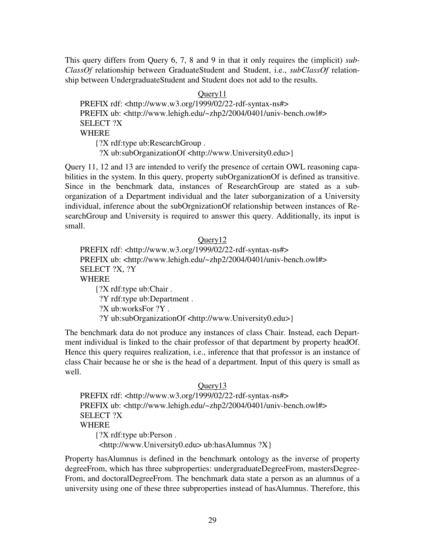This query differs from Query 6, 7, 8 and 9 in that it only requires the (implicit) *sub-ClassOf* relationship between GraduateStudent and Student, i.e., *subClassOf* relationship between UndergraduateStudent and Student does not add to the results.

Query11

PREFIX rdf: <http://www.w3.org/1999/02/22-rdf-syntax-ns#> PREFIX ub: <http://www.lehigh.edu/~zhp2/2004/0401/univ-bench.owl#> SELECT ?X WHERE {?X rdf:type ub:ResearchGroup .

?X ub:subOrganizationOf <http://www.University0.edu>}

Query 11, 12 and 13 are intended to verify the presence of certain OWL reasoning capabilities in the system. In this query, property subOrganizationOf is defined as transitive. Since in the benchmark data, instances of ResearchGroup are stated as a suborganization of a Department individual and the later suborganization of a University individual, inference about the subOrgnizationOf relationship between instances of ResearchGroup and University is required to answer this query. Additionally, its input is small.

Query12

PREFIX rdf: <http://www.w3.org/1999/02/22-rdf-syntax-ns#> PREFIX ub: <http://www.lehigh.edu/~zhp2/2004/0401/univ-bench.owl#> SELECT ?X, ?Y WHERE {?X rdf:type ub:Chair . ?Y rdf:type ub:Department .

?X ub:worksFor ?Y .

?Y ub:subOrganizationOf <http://www.University0.edu>}

The benchmark data do not produce any instances of class Chair. Instead, each Department individual is linked to the chair professor of that department by property headOf. Hence this query requires realization, i.e., inference that that professor is an instance of class Chair because he or she is the head of a department. Input of this query is small as well.

## Query13

PREFIX rdf: <http://www.w3.org/1999/02/22-rdf-syntax-ns#> PREFIX ub: <http://www.lehigh.edu/~zhp2/2004/0401/univ-bench.owl#> SELECT ?X WHERE {?X rdf:type ub:Person . <http://www.University0.edu> ub:hasAlumnus ?X}

Property hasAlumnus is defined in the benchmark ontology as the inverse of property degreeFrom, which has three subproperties: undergraduateDegreeFrom, mastersDegree-From, and doctoralDegreeFrom. The benchmark data state a person as an alumnus of a university using one of these three subproperties instead of hasAlumnus. Therefore, this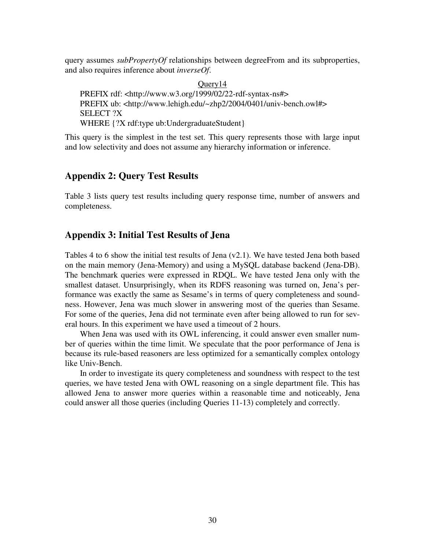query assumes *subPropertyOf* relationships between degreeFrom and its subproperties, and also requires inference about *inverseOf*.

Query14 PREFIX rdf: <http://www.w3.org/1999/02/22-rdf-syntax-ns#> PREFIX ub: <http://www.lehigh.edu/~zhp2/2004/0401/univ-bench.owl#> SELECT ?X WHERE {?X rdf:type ub:UndergraduateStudent}

This query is the simplest in the test set. This query represents those with large input and low selectivity and does not assume any hierarchy information or inference.

# **Appendix 2: Query Test Results**

Table 3 lists query test results including query response time, number of answers and completeness.

# **Appendix 3: Initial Test Results of Jena**

Tables 4 to 6 show the initial test results of Jena (v2.1). We have tested Jena both based on the main memory (Jena-Memory) and using a MySQL database backend (Jena-DB). The benchmark queries were expressed in RDQL. We have tested Jena only with the smallest dataset. Unsurprisingly, when its RDFS reasoning was turned on, Jena's performance was exactly the same as Sesame's in terms of query completeness and soundness. However, Jena was much slower in answering most of the queries than Sesame. For some of the queries, Jena did not terminate even after being allowed to run for several hours. In this experiment we have used a timeout of 2 hours.

When Jena was used with its OWL inferencing, it could answer even smaller number of queries within the time limit. We speculate that the poor performance of Jena is because its rule-based reasoners are less optimized for a semantically complex ontology like Univ-Bench.

In order to investigate its query completeness and soundness with respect to the test queries, we have tested Jena with OWL reasoning on a single department file. This has allowed Jena to answer more queries within a reasonable time and noticeably, Jena could answer all those queries (including Queries 11-13) completely and correctly.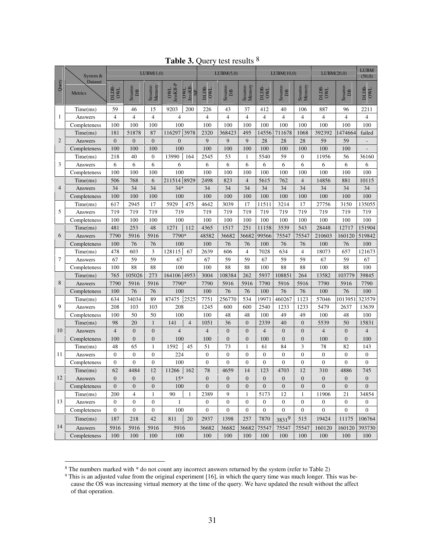|                | System &                |                         |                     | LUBM(1,0)         |                                                                    |                     | LUBM(5,0)               |                   |                     | LUBM(10,0)       |                   | LUBM(20,0)          | <b>LUBM</b><br>(50,0) |                          |
|----------------|-------------------------|-------------------------|---------------------|-------------------|--------------------------------------------------------------------|---------------------|-------------------------|-------------------|---------------------|------------------|-------------------|---------------------|-----------------------|--------------------------|
| Query          | Dataset<br>Metrics      | DLDB-<br>OWL            | Sesame-<br><b>B</b> | Sesame-<br>Memory | $JessKB-P$<br>JessKB-<br><b>OWL</b><br><b>TMO</b><br>$\frac{P}{Z}$ | DLDB-<br><b>OWL</b> | Sesame-<br><b>DB</b>    | Sesame-<br>Memory | DLDB-<br><b>OWL</b> | Sesame-<br>B     | Sesame-<br>Memory | DLDB-<br><b>OWL</b> | Sesame-<br>DB         | DLDB-<br>OWL             |
|                | Time(ms)                | 59                      | 46                  | 15                | 9203<br>200                                                        | 226                 | 43                      | 37                | 412                 | 40               | 106               | 887                 | 96                    | 2211                     |
| 1              | Answers                 | $\overline{\mathbf{4}}$ | $\overline{4}$      | $\overline{4}$    | $\overline{4}$                                                     | $\overline{4}$      | $\overline{\mathbf{4}}$ | $\overline{4}$    | $\overline{4}$      | $\overline{4}$   | $\overline{4}$    | $\overline{4}$      | $\overline{4}$        | $\overline{4}$           |
|                | Completeness            | 100                     | 100                 | 100               | 100                                                                | 100                 | 100                     | 100               | 100                 | 100              | 100               | 100                 | 100                   | 100                      |
|                | Time(ms)                | 181                     | 51878               | 87                | 3978<br>116297                                                     | 2320                | 368423                  | 495               | 14556               | 711678           | 1068              | 392392              | 1474664               | failed                   |
| $\overline{2}$ | Answers                 | $\boldsymbol{0}$        | $\mathbf{0}$        | $\boldsymbol{0}$  | $\overline{0}$                                                     | 9                   | 9                       | 9                 | 28                  | 28               | 28                | 59                  | 59                    | $\overline{\phantom{0}}$ |
|                | Completeness            | 100                     | 100                 | 100               | 100                                                                | 100                 | 100                     | 100               | 100                 | 100              | 100               | 100                 | 100                   |                          |
|                | Time(ms)                | 218                     | 40                  | $\boldsymbol{0}$  | 13990<br>164                                                       | 2545                | 53                      | 1                 | 5540                | 59               | $\mathbf{0}$      | 11956               | 56                    | 36160                    |
| 3              | Answers                 | 6                       | 6                   | 6                 | 6                                                                  | 6                   | 6                       | 6                 | 6                   | 6                | 6                 | 6                   | 6                     | 6                        |
|                | Completeness            | 100                     | 100                 | 100               | 100                                                                | 100                 | 100                     | 100               | 100                 | 100              | 100               | 100                 | 100                   | 100                      |
|                | Time(ms)                | 506                     | 768                 | 6                 | 211514 8929                                                        | 2498                | 823                     | $\overline{4}$    | 5615                | 762              | $\overline{4}$    | 14856               | 881                   | 10115                    |
| $\overline{4}$ | Answers                 | 34                      | 34                  | 34                | $34*$                                                              | 34                  | 34                      | 34                | 34                  | 34               | 34                | 34                  | 34                    | 34                       |
|                | Completeness            | 100                     | 100                 | 100               | 100                                                                | 100                 | 100                     | 100               | 100                 | 100              | 100               | 100                 | 100                   | 100                      |
|                | Time(ms)                | 617                     | 2945                | 17                | 5929<br>475                                                        | 4642                | 3039                    | 17                | 11511               | 3214             | 17                | 27756               | 3150                  | 135055                   |
| 5              | Answers                 | 719                     | 719                 | 719               | 719                                                                | 719                 | 719                     | 719               | 719                 | 719              | 719               | 719                 | 719                   | 719                      |
|                | Completeness            | 100<br>481              | 100<br>253          | 100               | 100<br>1271<br>112                                                 | 100<br>4365         | 100                     | 100               | 100                 | 100<br>3539      | 100<br>543        | 100<br>28448        | 100<br>12717          | 100<br>151904            |
| 6              | Time(ms)                | 7790                    | 5916                | 48<br>5916        | 7790*                                                              | 48582               | 1517<br>36682           | 251<br>36682      | 11158<br>99566      | 75547            | 75547             | 210603              | 160120                | 519842                   |
|                | Answers<br>Completeness | 100                     | 76                  | 76                | 100                                                                | 100                 | 76                      | 76                | 100                 | 76               | 76                | 100                 | 76                    | 100                      |
|                | Time(ms)                | 478                     | 603                 | 3                 | 128115<br>67                                                       | 2639                | 606                     | $\overline{4}$    | 7028                | 634              | $\overline{4}$    | 18073               | 657                   | 121673                   |
| $\overline{7}$ | Answers                 | 67                      | 59                  | 59                | 67                                                                 | 67                  | 59                      | 59                | 67                  | 59               | 59                | 67                  | 59                    | 67                       |
|                | Completeness            | 100                     | 88                  | 88                | 100                                                                | 100                 | 88                      | 88                | 100                 | 88               | 88                | 100                 | 88                    | 100                      |
|                | Time(ms)                | 765                     | 105026              | 273               | 164106 4953                                                        | 3004                | 108384                  | 262               | 5937                | 108851           | 264               | 13582               | 103779                | 39845                    |
| 8              | Answers                 | 7790                    | 5916                | 5916              | 7790*                                                              | 7790                | 5916                    | 5916              | 7790                | 5916             | 5916              | 7790                | 5916                  | 7790                     |
|                | Completeness            | 100                     | 76                  | 76                | 100                                                                | 100                 | 76                      | 76                | 100                 | 76               | 76                | 100                 | 76                    | 100                      |
|                | Time(ms)                | 634                     | 34034               | 89                | 87475<br>2525                                                      | 7751                | 256770                  | 534               | 19971               | 460267           | 1123              | 57046               | 1013951               | 323579                   |
| 9              | Answers                 | 208                     | 103                 | 103               | 208                                                                | 1245                | 600                     | 600               | 2540                | 1233             | 1233              | 5479                | 2637                  | 13639                    |
|                | Completeness            | 100                     | 50                  | 50                | 100                                                                | 100                 | 48                      | 48                | 100                 | 49               | 49                | 100                 | 48                    | 100                      |
|                | Time(ms)                | 98                      | 20                  | $\mathbf{1}$      | 141<br>$\overline{4}$                                              | 1051                | 36                      | $\overline{0}$    | 2339                | 40               | $\overline{0}$    | 5539                | 50                    | 15831                    |
| 10             | Answers                 | $\overline{4}$          | $\mathbf{0}$        | $\overline{0}$    | $\overline{4}$                                                     | $\overline{4}$      | $\boldsymbol{0}$        | $\overline{0}$    | 4                   | $\overline{0}$   | $\overline{0}$    | $\overline{4}$      | $\overline{0}$        | $\overline{4}$           |
|                | Completeness            | 100                     | $\boldsymbol{0}$    | $\overline{0}$    | 100                                                                | 100                 | $\boldsymbol{0}$        | $\mathbf{0}$      | 100                 | $\overline{0}$   | $\overline{0}$    | 100                 | $\overline{0}$        | 100                      |
|                | Time(ms)                | 48                      | 65                  | 1                 | 1592<br>45                                                         | 51                  | 73                      | $\mathbf{1}$      | 61                  | 84               | 3                 | 78                  | 82                    | 143                      |
| 11             | Answers                 | $\mathbf{0}$            | $\overline{0}$      | $\overline{0}$    | 224                                                                | $\boldsymbol{0}$    | $\overline{0}$          | $\mathbf{0}$      | $\boldsymbol{0}$    | $\mathbf{0}$     | $\overline{0}$    | $\mathbf{0}$        | $\overline{0}$        | $\boldsymbol{0}$         |
|                | Completeness            | $\overline{0}$          | $\overline{0}$      | $\overline{0}$    | 100                                                                | $\overline{0}$      | $\overline{0}$          | $\overline{0}$    | $\overline{0}$      | $\overline{0}$   | $\overline{0}$    | $\overline{0}$      | $\overline{0}$        | $\boldsymbol{0}$         |
|                | Time(ms)                | 62                      | 4484                | 12                | 162<br>11266                                                       | 78                  | 4659                    | 14                | 123                 | 4703             | 12                | 310                 | 4886                  | 745                      |
| 12             | Answers                 | $\boldsymbol{0}$        | $\boldsymbol{0}$    | $\boldsymbol{0}$  | $15*$                                                              | $\boldsymbol{0}$    | $\boldsymbol{0}$        | $\boldsymbol{0}$  | $\boldsymbol{0}$    | $\boldsymbol{0}$ | $\boldsymbol{0}$  | $\boldsymbol{0}$    | $\boldsymbol{0}$      | $\mathbf{0}$             |
|                | Completeness            | $\overline{0}$          | $\boldsymbol{0}$    | $\boldsymbol{0}$  | 100                                                                | $\overline{0}$      | $\boldsymbol{0}$        | $\boldsymbol{0}$  | $\overline{0}$      | $\boldsymbol{0}$ | $\boldsymbol{0}$  | $\boldsymbol{0}$    | $\boldsymbol{0}$      | $\mathbf{0}$             |
|                | Time(ms)                | 200                     | $\overline{4}$      | 1                 | 90<br>$\mathbf{1}$                                                 | 2389                | 9                       | 1                 | 5173                | 12               | $\mathbf{1}$      | 11906               | 21                    | 34854                    |
| 13             | Answers                 | $\boldsymbol{0}$        | $\mathbf{0}$        | $\boldsymbol{0}$  | $\mathbf{1}$                                                       | $\boldsymbol{0}$    | $\boldsymbol{0}$        | $\mathbf{0}$      | $\boldsymbol{0}$    | $\boldsymbol{0}$ | $\boldsymbol{0}$  | $\boldsymbol{0}$    | $\mathbf{0}$          | $\boldsymbol{0}$         |
|                | Completeness            | $\boldsymbol{0}$        | $\boldsymbol{0}$    | $\boldsymbol{0}$  | 100                                                                | $\boldsymbol{0}$    | $\boldsymbol{0}$        | $\mathbf{0}$      | $\boldsymbol{0}$    | $\boldsymbol{0}$ | $\boldsymbol{0}$  | $\boldsymbol{0}$    | $\mathbf{0}$          | $\mathbf{0}$             |
|                | Time(ms)                | 187                     | 218                 | 42                | 811<br>20                                                          | 2937                | 1398                    | 257               | 7870                | 38319            | 515               | 19424               | 11175                 | 106764                   |
| 14             | Answers                 | 5916                    | 5916                | 5916              | 5916                                                               | 36682               | 36682                   | 36682             | 75547               | 75547            | 75547             | 160120              | 160120                | 393730                   |
|                | Completeness            | 100                     | 100                 | 100               | 100                                                                | 100                 | 100                     | 100               | 100                 | 100              | 100               | 100                 | 100                   | 100                      |

**Table 3.** Query test results 8

<sup>&</sup>lt;sup>8</sup> The numbers marked with \* do not count any incorrect answers returned by the system (refer to Table 2)

 $9$  This is an adjusted value from the original experiment [16], in which the query time was much longer. This was because the OS was increasing virtual memory at the time of the query. We have updated the result without the affect of that operation.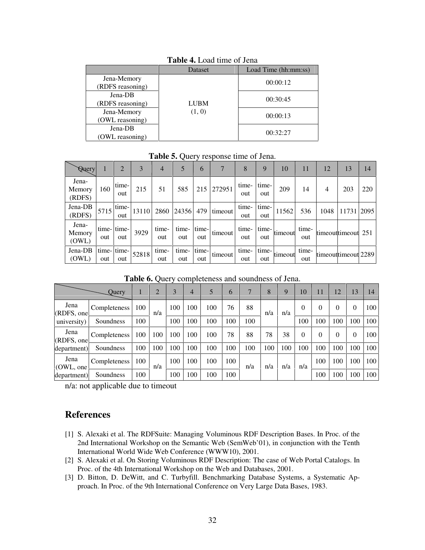|                  | Dataset     | Load Time (hh:mm:ss) |  |  |  |  |
|------------------|-------------|----------------------|--|--|--|--|
| Jena-Memory      |             | 00:00:12             |  |  |  |  |
| (RDFS reasoning) |             |                      |  |  |  |  |
| Jena-DB          |             | 00:30:45             |  |  |  |  |
| (RDFS reasoning) | <b>LUBM</b> |                      |  |  |  |  |
| Jena-Memory      | (1, 0)      | 00:00:13             |  |  |  |  |
| (OWL reasoning)  |             |                      |  |  |  |  |
| Jena-DB          |             | 00:32:27             |  |  |  |  |
| (OWL reasoning)  |             |                      |  |  |  |  |

**Table 4.** Load time of Jena

**Table 5.** Query response time of Jena.

| Query                     |              | $\overline{2}$        | 3     | 4            | 5                | 6            |             | 8            | 9            | 10      | 11           | 12                  | 13         | 14  |
|---------------------------|--------------|-----------------------|-------|--------------|------------------|--------------|-------------|--------------|--------------|---------|--------------|---------------------|------------|-----|
| Jena-<br>Memory<br>(RDFS) | 160          | time-<br>out          | 215   | 51           | 585              | 215          | 272951      | time-<br>out | time-<br>out | 209     | 14           | 4                   | 203        | 220 |
| Jena-DB<br>(RDFS)         | 5715         | time-<br>out          |       |              | 13110 2860 24356 |              | 479 timeout | time-<br>out | time-<br>out | 11562   | 536          | 1048                | 11731 2095 |     |
| Jena-<br>Memory<br>(OWL)  | out          | time-<br>time-<br>out | 3929  | time-<br>out | time-<br>out     | time-<br>out | timeout     | time-<br>out | time-<br>out | timeout | time-<br>out | timeouttimeout 251  |            |     |
| Jena-DB<br>(OWL)          | time-<br>out | time-<br>out          | 52818 | time-<br>out | time-<br>out     | time-<br>out | timeout     | time-<br>out | time-<br>out | timeout | time-<br>out | timeouttimeout 2289 |            |     |

**Table 6.** Query completeness and soundness of Jena.

|                                           | <b>Query</b> |     |     |     | 4   | 5   | 6   |     | 8   | 9   | 10       | 11  | 12       | 13       | 14  |
|-------------------------------------------|--------------|-----|-----|-----|-----|-----|-----|-----|-----|-----|----------|-----|----------|----------|-----|
| Jena<br>(RDFS, one)<br>university)        | Completeness | 100 | n/a | 100 | 100 | 100 | 76  | 88  | n/a | n/a | $\Omega$ | 0   | 0        | $\Omega$ | 100 |
|                                           | Soundness    | 100 |     | 100 | 100 | 100 | 100 | 100 |     |     | 100      | 100 | 100      | 100      | 100 |
| Jena<br>(RDFS, one<br>department)         | Completeness | 100 | 100 | 100 | 100 | 100 | 78  | 88  | 78  | 38  | $\Omega$ | 0   | $\Omega$ | 0        | 100 |
|                                           | Soundness    | 100 | 100 | 100 | 100 | 100 | 100 | 100 | 100 | 100 | 100      | 100 | 100      | 100      | 100 |
| Jena<br>$\vert$ (OWL, one)<br>department) | Completeness | 100 | n/a | 100 | 100 | 100 | 100 | n/a | n/a | n/a | n/a      | 100 | 100      | 100      | 100 |
|                                           | Soundness    | 100 |     | 100 | 100 | 100 | 100 |     |     |     |          | 100 | 100      | 100      | 100 |

n/a: not applicable due to timeout

# **References**

- [1] S. Alexaki et al. The RDFSuite: Managing Voluminous RDF Description Bases. In Proc. of the 2nd International Workshop on the Semantic Web (SemWeb'01), in conjunction with the Tenth International World Wide Web Conference (WWW10), 2001.
- [2] S. Alexaki et al. On Storing Voluminous RDF Description: The case of Web Portal Catalogs. In Proc. of the 4th International Workshop on the Web and Databases, 2001.
- [3] D. Bitton, D. DeWitt, and C. Turbyfill. Benchmarking Database Systems, a Systematic Approach. In Proc. of the 9th International Conference on Very Large Data Bases, 1983.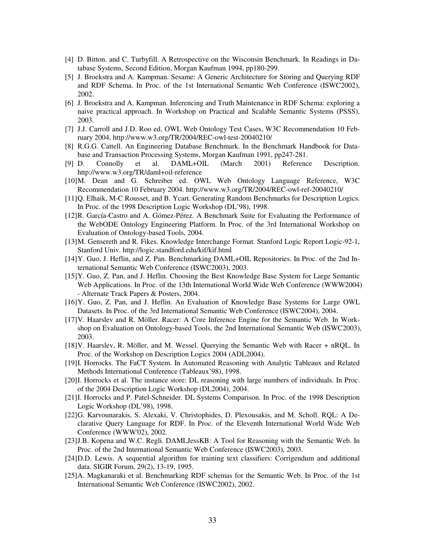- [4] D. Bitton. and C. Turbyfill. A Retrospective on the Wisconsin Benchmark. In Readings in Database Systems, Second Edition, Morgan Kaufman 1994, pp180-299.
- [5] J. Broekstra and A. Kampman. Sesame: A Generic Architecture for Storing and Querying RDF and RDF Schema. In Proc. of the 1st International Semantic Web Conference (ISWC2002), 2002.
- [6] J. Broekstra and A. Kampman. Inferencing and Truth Maintenance in RDF Schema: exploring a naive practical approach. In Workshop on Practical and Scalable Semantic Systems (PSSS), 2003.
- [7] J.J. Carroll and J.D. Roo ed. OWL Web Ontology Test Cases, W3C Recommendation 10 February 2004, http://www.w3.org/TR/2004/REC-owl-test-20040210/
- [8] R.G.G. Cattell. An Engineering Database Benchmark. In the Benchmark Handbook for Database and Transaction Processing Systems, Morgan Kaufman 1991, pp247-281.
- [9] D. Connolly et al. DAML+OIL (March 2001) Reference Description. http://www.w3.org/TR/daml+oil-reference
- [10]M. Dean and G. Schreiber ed. OWL Web Ontology Language Reference, W3C Recommendation 10 February 2004. http://www.w3.org/TR/2004/REC-owl-ref-20040210/
- [11]Q. Elhaik, M-C Rousset, and B. Ycart. Generating Random Benchmarks for Description Logics. In Proc. of the 1998 Description Logic Workshop (DL'98), 1998.
- [12]R. García-Castro and A. Gómez-Pérez. A Benchmark Suite for Evaluating the Performance of the WebODE Ontology Engineering Platform. In Proc. of the 3rd International Workshop on Evaluation of Ontology-based Tools, 2004.
- [13]M. Gensereth and R. Fikes. Knowledge Interchange Format. Stanford Logic Report Logic-92-1, Stanford Univ. http://logic.standford.edu/kif/kif.html
- [14]Y. Guo, J. Heflin, and Z. Pan. Benchmarking DAML+OIL Repositories. In Proc. of the 2nd International Semantic Web Conference (ISWC2003), 2003.
- [15]Y. Guo, Z. Pan, and J. Heflin. Choosing the Best Knowledge Base System for Large Semantic Web Applications. In Proc. of the 13th International World Wide Web Conference (WWW2004) - Alternate Track Papers & Posters, 2004.
- [16]Y. Guo, Z. Pan, and J. Heflin. An Evaluation of Knowledge Base Systems for Large OWL Datasets. In Proc. of the 3rd International Semantic Web Conference (ISWC2004), 2004.
- [17]V. Haarslev and R. Möller. Racer: A Core Inference Engine for the Semantic Web. In Workshop on Evaluation on Ontology-based Tools, the 2nd International Semantic Web (ISWC2003), 2003.
- [18]V. Haarslev, R. Möller, and M. Wessel. Querying the Semantic Web with Racer + nRQL. In Proc. of the Workshop on Description Logics 2004 (ADL2004).
- [19]I. Horrocks. The FaCT System. In Automated Reasoning with Analytic Tableaux and Related Methods International Conference (Tableaux' 98), 1998.
- [20]I. Horrocks et al. The instance store: DL reasoning with large numbers of individuals. In Proc. of the 2004 Description Logic Workshop (DL2004), 2004.
- [21]I. Horrocks and P. Patel-Schneider. DL Systems Comparison. In Proc. of the 1998 Description Logic Workshop (DL'98), 1998.
- [22]G. Karvounarakis, S. Alexaki, V. Christophides, D. Plexousakis, and M. Scholl. RQL: A Declarative Query Language for RDF. In Proc. of the Eleventh International World Wide Web Conference (WWW'02), 2002.
- [23]J.B. Kopena and W.C. Regli. DAMLJessKB: A Tool for Reasoning with the Semantic Web. In Proc. of the 2nd International Semantic Web Conference (ISWC2003), 2003.
- [24]D.D. Lewis. A sequential algorithm for training text classifiers: Corrigendum and additional data. SIGIR Forum, 29(2), 13-19, 1995.
- [25]A. Magkanaraki et al. Benchmarking RDF schemas for the Semantic Web. In Proc. of the 1st International Semantic Web Conference (ISWC2002), 2002.